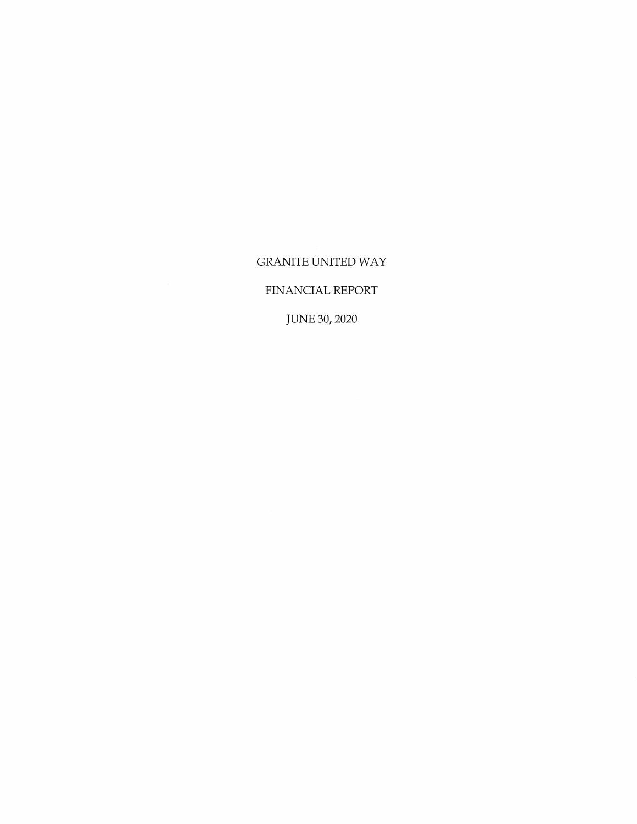# FINANCIAL REPORT

JUNE 30, 2020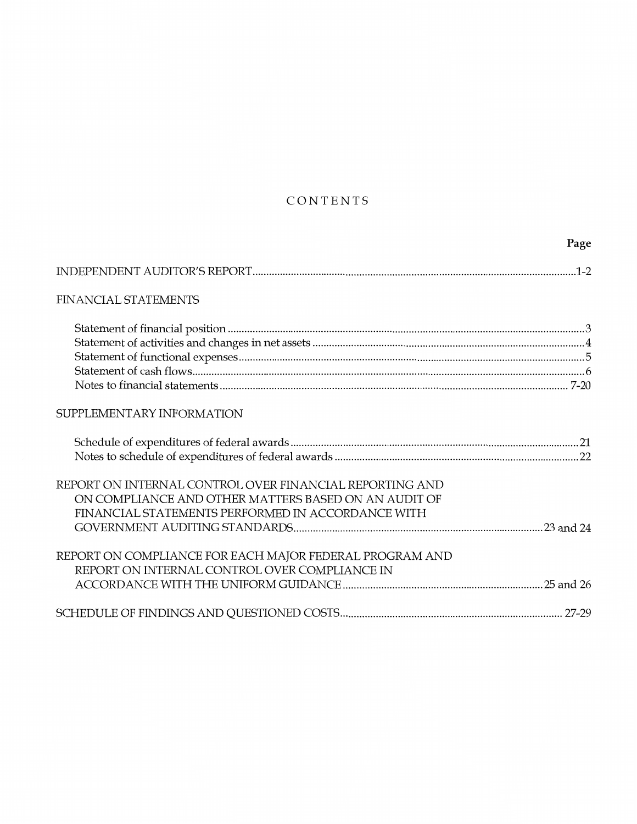# CONTENTS

|                                                                                                                                                                      | Page    |
|----------------------------------------------------------------------------------------------------------------------------------------------------------------------|---------|
|                                                                                                                                                                      | $1 - 2$ |
| <b>FINANCIAL STATEMENTS</b>                                                                                                                                          |         |
|                                                                                                                                                                      |         |
| SUPPLEMENTARY INFORMATION                                                                                                                                            |         |
|                                                                                                                                                                      |         |
| REPORT ON INTERNAL CONTROL OVER FINANCIAL REPORTING AND<br>ON COMPLIANCE AND OTHER MATTERS BASED ON AN AUDIT OF<br>FINANCIAL STATEMENTS PERFORMED IN ACCORDANCE WITH |         |
| REPORT ON COMPLIANCE FOR EACH MAJOR FEDERAL PROGRAM AND<br>REPORT ON INTERNAL CONTROL OVER COMPLIANCE IN                                                             |         |
|                                                                                                                                                                      |         |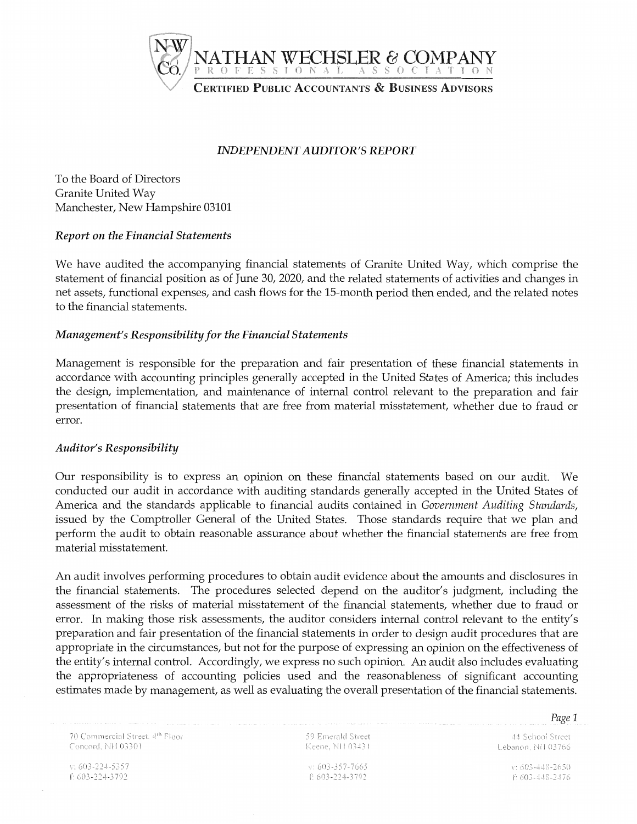

### **INDEPENDENT AUDITOR'S REPORT**

To the Board of Directors Granite United Way Manchester, New Hampshire 03101

#### *Report on the Financial Statements*

We have audited the accompanying financial statements of Granite United Way, which comprise the statement of financial position as of June 30, 2020, and the related statements of activities and changes in net assets, functional expenses, and cash flows for the 15-month period then ended, and the related notes to the financial statements.

### *Management's Responsibility for the Financial Statements*

Management is responsible for the preparation and fair presentation of these financial statements in accordance with accounting principles generally accepted in the United States of America; this includes the design, implementation, and maintenance of internal control relevant to the preparation and fair presentation of financial statements that are free from material misstatement, whether due to fraud or error.

#### *Auditor's Responsibility*

Our responsibility is to express an opinion on these financial statements based on our audit. We conducted our audit in accordance with auditing standards generally accepted in the United States of America and the standards applicable to financial audits contained in *Government Auditing Standards,*  issued by the Comptroller General of the United States. Those standards require that we plan and perform the audit to obtain reasonable assurance about whether the financial statements are free from material misstatement.

An audit involves performing procedures to obtain audit evidence about the amounts and disclosures in the financial statements. The procedures selected depend on the auditor's judgment, including the assessment of the risks of material misstatement of the financial statements, whether due to fraud or error. In making those risk assessments, the auditor considers internal control relevant to the entity's preparation and fair presentation of the financial statements in order to design audit procedures that are appropriate in the circumstances, but not for the purpose of expressing an opinion on the effectiveness of the entity's internal control. Accordingly, we express no such opinion. An audit also includes evaluating the appropriateness of accounting policies used and the reasonableness of significant accounting estimates made by management, as well as evaluating the overall presentation of the financial statements.

70 Commercial Street, 4th Floor Concord, NH 03301

 $v: 603 - 224 - 5357$ f: 603-224-3792

59 Emerald Street Keene, NH 03431

 $v: 603 - 357 - 7665$ £603-224-3792

44 School Street Lebanon, NH 03766

*Page* 1

 $v: 603 - 448 - 2650$ f: 603-448-2476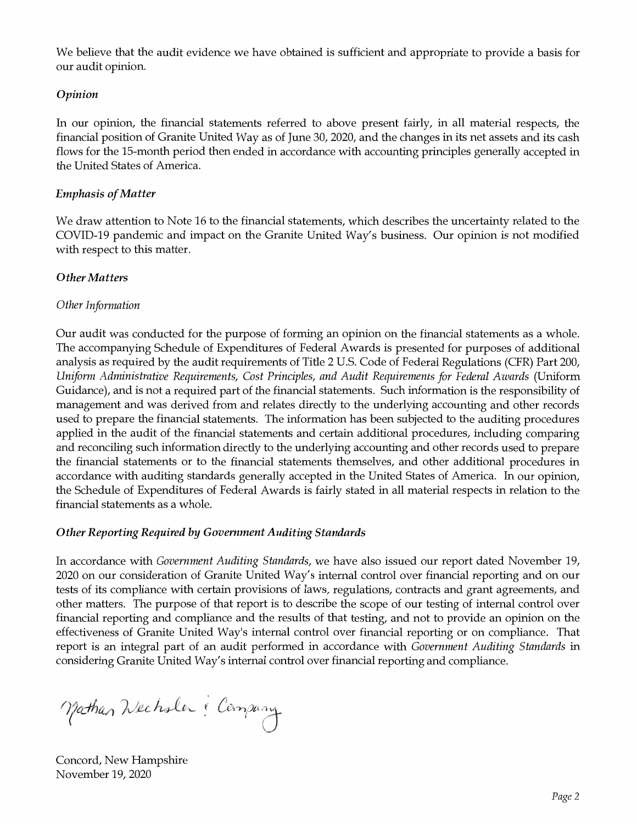We believe that the audit evidence we have obtained is sufficient and appropriate to provide a basis for our audit opinion.

# *Opinion*

In our opinion, the financial statements referred to above present fairly, in all material respects, the financial position of Granite United Way as of June 30, 2020, and the changes in its net assets and its cash flows for the 15-month period then ended in accordance with accounting principles generally accepted in the United States of America.

# *Emphasis of Matter*

We draw attention to Note 16 to the financial statements, which describes the uncertainty related to the COVID-19 pandemic and impact on the Granite United Way's business. Our opinion is not modified with respect to this matter.

# *Other Matters*

# *Other Information*

Our audit was conducted for the purpose of forming an opinion on the financial statements as a whole. The accompanying Schedule of Expenditures of Federal Awards is presented for purposes of additional analysis as required by the audit requirements of Title 2 U.S. Code of Federal Regulations (CFR) Part 200, *Unifonn Administrative Requirements, Cost Principles, and Audit Requirements for Federal Awards* (Uniform Guidance), and is not a required part of the financial statements. Such information is the responsibility of management and was derived from and relates directly to the underlying accounting and other records used to prepare the financial statements. The information has been subjected to the auditing procedures applied in the audit of the financial statements and certain additional procedures, including comparing and reconciling such information directly to the underlying accounting and other records used to prepare the financial statements or to the financial statements themselves, and other additional procedures in accordance with auditing standards generally accepted in the United States of America. In our opinion, the Schedule of Expenditures of Federal Awards is fairly stated in all material respects in relation to the financial statements as a whole.

# *Other Reporting Required* **by** *Government Auditing Standards*

In accordance with *Government Auditing Standards,* we have also issued our report dated November 19, 2020 on our consideration of Granite United Way's internal control over financial reporting and on our tests of its compliance with certain provisions of laws, regulations, contracts and grant agreements, and other matters. The purpose of that report is to describe the scope of our testing of internal control over financial reporting and compliance and the results of that testing, and not to provide an opinion on the effectiveness of Granite United Way's internal control over financial reporting or on compliance. That report is an integral part of an audit performed in accordance with *Government Auditing Standards* in considering Granite United Way's internal control over financial reporting and compliance.

Mathan Wechsler & Campany

Concord, New Hampshire November19,2020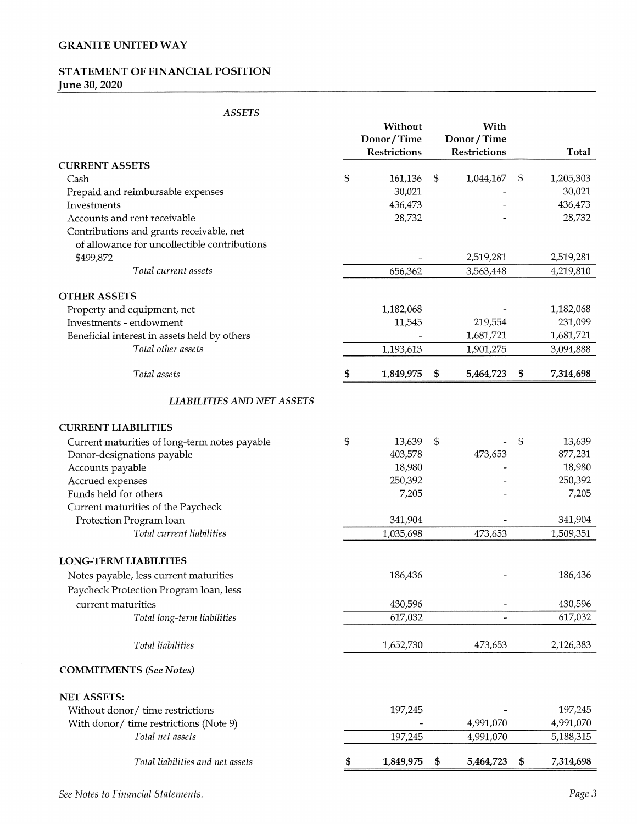# **STATEMENT OF FINANCIAL POSITION June 30, 2020**

| <b>ASSETS</b>                                 |                                       |    |                                           |                 |
|-----------------------------------------------|---------------------------------------|----|-------------------------------------------|-----------------|
|                                               | Without<br>Donor/Time<br>Restrictions |    | With<br>Donor/Time<br><b>Restrictions</b> | Total           |
| <b>CURRENT ASSETS</b>                         |                                       |    |                                           |                 |
| Cash                                          | \$<br>161,136                         | \$ | 1,044,167                                 | \$<br>1,205,303 |
| Prepaid and reimbursable expenses             | 30,021                                |    |                                           | 30,021          |
| Investments                                   | 436,473                               |    |                                           | 436,473         |
| Accounts and rent receivable                  | 28,732                                |    |                                           | 28,732          |
| Contributions and grants receivable, net      |                                       |    |                                           |                 |
| of allowance for uncollectible contributions  |                                       |    |                                           |                 |
| \$499,872                                     |                                       |    | 2,519,281                                 | 2,519,281       |
| Total current assets                          | 656,362                               |    | 3,563,448                                 | 4,219,810       |
| <b>OTHER ASSETS</b>                           |                                       |    |                                           |                 |
| Property and equipment, net                   | 1,182,068                             |    |                                           | 1,182,068       |
| Investments - endowment                       | 11,545                                |    | 219,554                                   | 231,099         |
| Beneficial interest in assets held by others  |                                       |    | 1,681,721                                 | 1,681,721       |
| Total other assets                            | 1,193,613                             |    | 1,901,275                                 | 3,094,888       |
| Total assets                                  | \$<br>1,849,975                       | \$ | 5,464,723                                 | \$<br>7,314,698 |
| <b>LIABILITIES AND NET ASSETS</b>             |                                       |    |                                           |                 |
| <b>CURRENT LIABILITIES</b>                    |                                       |    |                                           |                 |
| Current maturities of long-term notes payable | \$<br>13,639                          | -S |                                           | \$<br>13,639    |
| Donor-designations payable                    | 403,578                               |    | 473,653                                   | 877,231         |
| Accounts payable                              | 18,980                                |    |                                           | 18,980          |
| Accrued expenses                              | 250,392                               |    |                                           | 250,392         |
| Funds held for others                         | 7,205                                 |    |                                           | 7,205           |
| Current maturities of the Paycheck            |                                       |    |                                           |                 |
| Protection Program loan                       | 341,904                               |    |                                           | 341,904         |
| Total current liabilities                     | 1,035,698                             |    | 473,653                                   | 1,509,351       |
| <b>LONG-TERM LIABILITIES</b>                  |                                       |    |                                           |                 |
| Notes payable, less current maturities        | 186,436                               |    |                                           | 186,436         |
| Paycheck Protection Program loan, less        |                                       |    |                                           |                 |
| current maturities                            | 430,596                               |    |                                           | 430,596         |
| Total long-term liabilities                   | 617,032                               |    |                                           | 617,032         |
| Total liabilities                             | 1,652,730                             |    | 473,653                                   | 2,126,383       |
| <b>COMMITMENTS</b> (See Notes)                |                                       |    |                                           |                 |
| <b>NET ASSETS:</b>                            |                                       |    |                                           |                 |
| Without donor/ time restrictions              | 197,245                               |    |                                           | 197,245         |
| With donor/ time restrictions (Note 9)        |                                       |    | 4,991,070                                 | 4,991,070       |
| Total net assets                              | 197,245                               |    | 4,991,070                                 | 5,188,315       |
| Total liabilities and net assets              | 1,849,975                             | \$ | 5,464,723                                 | \$<br>7,314,698 |
|                                               |                                       |    |                                           |                 |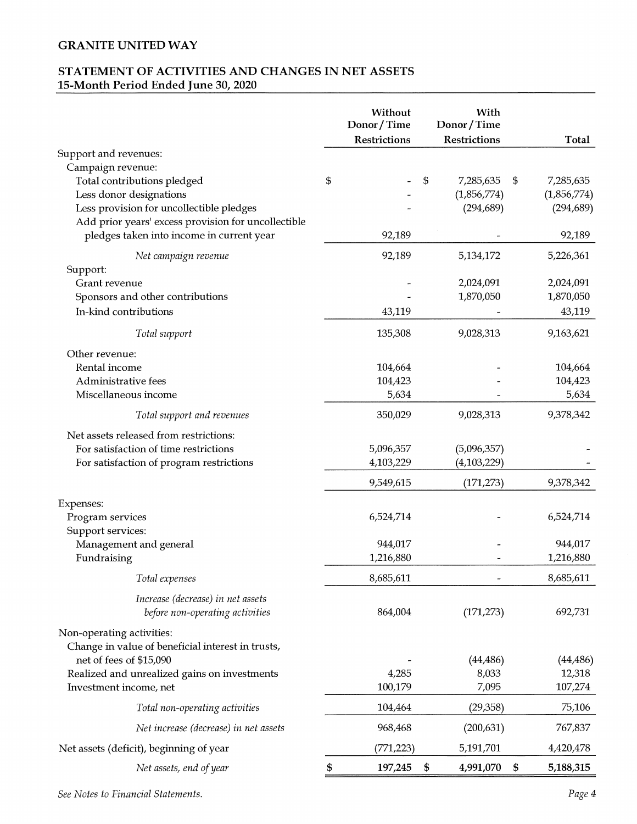# **STATEMENT OF ACTIVITIES AND CHANGES IN NET ASSETS 15-Month Period Ended June 30, 2020**

|                                                                                | Without<br>Donor / Time<br><b>Restrictions</b> | With<br>Donor / Time<br><b>Restrictions</b> |    | Total       |
|--------------------------------------------------------------------------------|------------------------------------------------|---------------------------------------------|----|-------------|
| Support and revenues:                                                          |                                                |                                             |    |             |
| Campaign revenue:                                                              |                                                |                                             |    |             |
| Total contributions pledged                                                    | \$                                             | \$<br>7,285,635                             | -5 | 7,285,635   |
| Less donor designations                                                        |                                                | (1,856,774)                                 |    | (1,856,774) |
| Less provision for uncollectible pledges                                       |                                                | (294, 689)                                  |    | (294, 689)  |
| Add prior years' excess provision for uncollectible                            |                                                |                                             |    |             |
| pledges taken into income in current year                                      | 92,189                                         |                                             |    | 92,189      |
| Net campaign revenue                                                           | 92,189                                         | 5,134,172                                   |    | 5,226,361   |
| Support:                                                                       |                                                |                                             |    |             |
| Grant revenue                                                                  |                                                | 2,024,091                                   |    | 2,024,091   |
| Sponsors and other contributions                                               |                                                | 1,870,050                                   |    | 1,870,050   |
| In-kind contributions                                                          | 43,119                                         |                                             |    | 43,119      |
| Total support                                                                  | 135,308                                        | 9,028,313                                   |    | 9,163,621   |
| Other revenue:                                                                 |                                                |                                             |    |             |
| Rental income                                                                  | 104,664                                        |                                             |    | 104,664     |
| Administrative fees                                                            | 104,423                                        |                                             |    | 104,423     |
| Miscellaneous income                                                           | 5,634                                          |                                             |    | 5,634       |
| Total support and revenues                                                     | 350,029                                        | 9,028,313                                   |    | 9,378,342   |
| Net assets released from restrictions:                                         |                                                |                                             |    |             |
| For satisfaction of time restrictions                                          | 5,096,357                                      | (5,096,357)                                 |    |             |
| For satisfaction of program restrictions                                       | 4,103,229                                      | (4, 103, 229)                               |    |             |
|                                                                                | 9,549,615                                      | (171, 273)                                  |    | 9,378,342   |
| Expenses:                                                                      |                                                |                                             |    |             |
| Program services                                                               | 6,524,714                                      |                                             |    | 6,524,714   |
| Support services:                                                              |                                                |                                             |    |             |
| Management and general                                                         | 944,017                                        |                                             |    | 944,017     |
| Fundraising                                                                    | 1,216,880                                      |                                             |    | 1,216,880   |
| Total expenses                                                                 | 8,685,611                                      |                                             |    | 8,685,611   |
| Increase (decrease) in net assets<br>before non-operating activities           | 864,004                                        | (171, 273)                                  |    | 692,731     |
| Non-operating activities:<br>Change in value of beneficial interest in trusts, |                                                |                                             |    |             |
| net of fees of \$15,090                                                        |                                                | (44, 486)                                   |    | (44, 486)   |
| Realized and unrealized gains on investments                                   | 4,285                                          | 8,033                                       |    | 12,318      |
| Investment income, net                                                         | 100,179                                        | 7,095                                       |    | 107,274     |
| Total non-operating activities                                                 | 104,464                                        | (29, 358)                                   |    | 75,106      |
| Net increase (decrease) in net assets                                          | 968,468                                        | (200, 631)                                  |    | 767,837     |
| Net assets (deficit), beginning of year                                        | (771,223)                                      | 5,191,701                                   |    | 4,420,478   |
| Net assets, end of year                                                        | \$<br>197,245                                  | \$<br>4,991,070                             | \$ | 5,188,315   |

*See Notes to Financial Statements. Page4*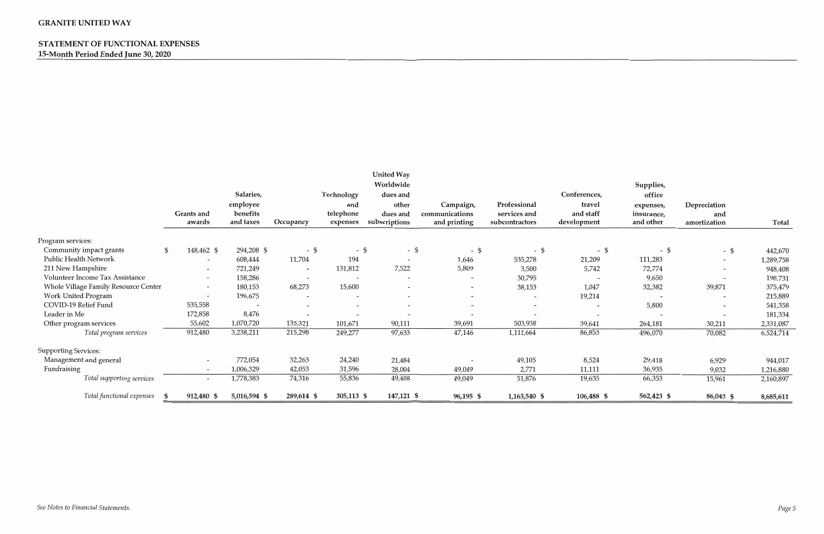|                                      | Grants and<br>awards     | Salaries,<br>employee<br>benefits<br>and taxes | Occupancy                | Technology<br>and<br>telephone<br>expenses | <b>United Way</b><br>Worldwide<br>dues and<br>other<br>dues and<br>subscriptions | Campaign,<br>communications<br>and printing | Professional<br>services and<br>subcontractors | Conferences,<br>travel<br>and staff<br>development | Supplies,<br>office<br>expenses,<br>insurance,<br>and other | Depreciation<br>and<br>amortization | Total     |
|--------------------------------------|--------------------------|------------------------------------------------|--------------------------|--------------------------------------------|----------------------------------------------------------------------------------|---------------------------------------------|------------------------------------------------|----------------------------------------------------|-------------------------------------------------------------|-------------------------------------|-----------|
| Program services:                    |                          |                                                |                          |                                            |                                                                                  |                                             |                                                |                                                    |                                                             |                                     |           |
| \$<br>Community impact grants        | 148,462 \$               | 294,208 \$                                     | $-$ \$                   | - \$                                       | $-$ \$                                                                           | $-$ \$                                      | $-$ \$                                         | $-$ \$                                             | $-$ \$                                                      | $-$ \$                              | 442,670   |
| <b>Public Health Network</b>         |                          | 608,444                                        | 11,704                   | 194                                        | $\overline{\phantom{a}}$                                                         | 1,646                                       | 535,278                                        | 21,209                                             | 111,283                                                     | $\overline{\phantom{a}}$            | 1,289,758 |
| 211 New Hampshire                    | $\sim$                   | 721,249                                        | $\overline{\phantom{a}}$ | 131,812                                    | 7,522                                                                            | 5,809                                       | 3,500                                          | 5,742                                              | 72,774                                                      | $\overline{\phantom{0}}$            | 948,408   |
| Volunteer Income Tax Assistance      | $\sim$                   | 158,286                                        | $\overline{\phantom{a}}$ |                                            | $\overline{\phantom{0}}$                                                         | $\overline{\phantom{a}}$                    | 30,795                                         |                                                    | 9,650                                                       |                                     | 198,731   |
| Whole Village Family Resource Center | $\sim$                   | 180,153                                        | 68,273                   | 15,600                                     | $\overline{\phantom{0}}$                                                         | $\overline{\phantom{a}}$                    | 38,153                                         | 1,047                                              | 32,382                                                      | 39,871                              | 375,479   |
| Work United Program                  |                          | 196,675                                        | $\overline{\phantom{a}}$ | $\overline{\phantom{a}}$                   | $\overline{\phantom{a}}$                                                         | $\overline{\phantom{0}}$                    |                                                | 19,214                                             |                                                             |                                     | 215,889   |
| COVID-19 Relief Fund                 | 535,558                  | $\overline{\phantom{a}}$                       | $\overline{\phantom{a}}$ |                                            |                                                                                  |                                             |                                                |                                                    | 5,800                                                       |                                     | 541,358   |
| Leader in Me                         | 172,858                  | 8,476                                          |                          |                                            | $\overline{\phantom{0}}$                                                         |                                             |                                                |                                                    |                                                             |                                     | 181,334   |
| Other program services               | 55,602                   | 1,070,720                                      | 135,321                  | 101,671                                    | 90,111                                                                           | 39,691                                      | 503,938                                        | 39,641                                             | 264,181                                                     | 30,211                              | 2,331,087 |
| Total program services               | 912,480                  | 3,238,211                                      | 215,298                  | 249,277                                    | 97,633                                                                           | 47,146                                      | 1,111,664                                      | 86,853                                             | 496,070                                                     | 70,082                              | 6,524,714 |
| <b>Supporting Services:</b>          |                          |                                                |                          |                                            |                                                                                  |                                             |                                                |                                                    |                                                             |                                     |           |
| Management and general               | $\overline{\phantom{0}}$ | 772,054                                        | 32,263                   | 24,240                                     | 21,484                                                                           |                                             | 49,105                                         | 8,524                                              | 29,418                                                      | 6,929                               | 944,017   |
| Fundraising                          | $\overline{\phantom{0}}$ | 1,006,329                                      | 42,053                   | 31,596                                     | 28,004                                                                           | 49,049                                      | 2,771                                          | 11,111                                             | 36,935                                                      | 9,032                               | 1,216,880 |
| Total supporting services            | $\overline{\phantom{a}}$ | 1,778,383                                      | 74,316                   | 55,836                                     | 49,488                                                                           | 49,049                                      | 51,876                                         | 19,635                                             | 66,353                                                      | 15,961                              | 2,160,897 |
| Total functional expenses            | 912,480 \$               | 5,016,594 \$                                   | 289,614 \$               | $305,113$ \$                               | 147,121 \$                                                                       | 96,195 \$                                   | 1,163,540 \$                                   | 106,488 \$                                         | 562,423 \$                                                  | 86,043 \$                           | 8,685,611 |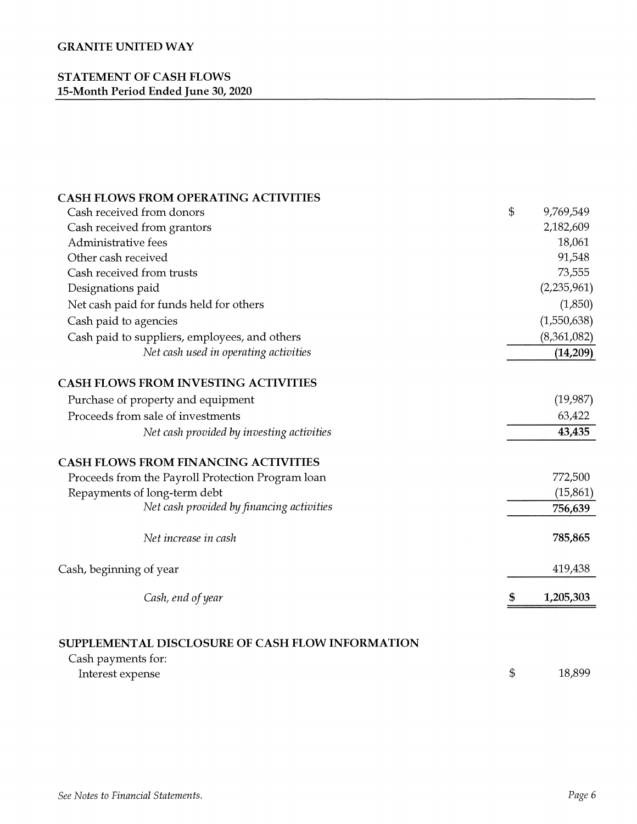# **STATEMENT OF CASH FLOWS 15-Month Period Ended June 30, 2020**

#### **CASH FLOWS FROM OPERATING ACTIVITIES**  Cash received from donors Cash received from grantors Administrative fees Other cash received Cash received from trusts Designations paid Net cash paid for funds held for others Cash paid to agencies Cash paid to suppliers, employees, and others *Net cash used in operating activities*  **CASH FLOWS FROM INVESTING ACTIVITIES**  Purchase of property and equipment Proceeds from sale of investments *Net cash provided by investing activities*  **CASH FLOWS FROM FINANCING ACTIVITIES**  Proceeds from the Payroll Protection Program loan Repayments of long-term debt *Net cash provided by financing activities Net increase in cash*  Cash, beginning of year *Cash, end of year*  **SUPPLEMENTAL DISCLOSURE OF CASH FLOW INFORMATION**  Cash payments for: \$ 9,769,549 2,182,609 18,061 91,548 73,555 (2,235,961) (1,850) (1,550,638) (8,361,082) **(14,209)**  (19,987) 63,422 **43,435**  772,500 (15,861) **756,639 785,865**  419,438 \$ **1,205,303**

| Casti paymento Ton. |        |
|---------------------|--------|
| Interest expense    | 18,899 |
|                     |        |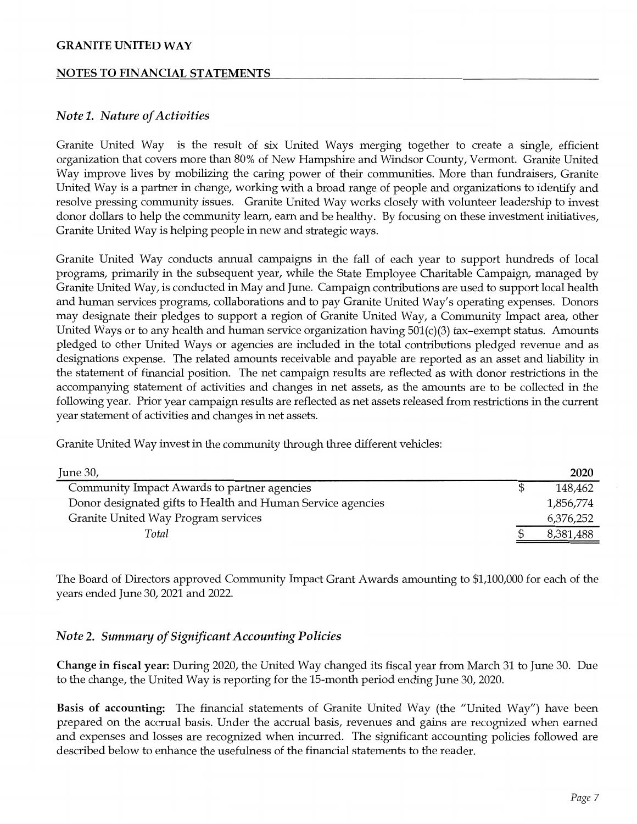#### **NOTES TO FINANCIAL STATEMENTS**

## *Note 1. Nature of Activities*

Granite United Way is the result of six United Ways merging together to create a single, efficient organization that covers more than 80% of New Hampshire and Windsor County, Vermont. Granite United Way improve lives by mobilizing the caring power of their communities. More than fundraisers, Granite United Way is a partner in change, working with a broad range of people and organizations to identify and resolve pressing community issues. Granite United Way works closely with volunteer leadership to invest donor dollars to help the community learn, earn and be healthy. By focusing on these investment initiatives, Granite United Way is helping people in new and strategic ways.

Granite United Way conducts annual campaigns in the fall of each year to support hundreds of local programs, primarily in the subsequent year, while the State Employee Charitable Campaign, managed by Granite United Way, is conducted in May and June. Campaign contributions are used to support local health and human services programs, collaborations and to pay Granite United Way's operating expenses. Donors may designate their pledges to support a region of Granite United Way, a Community Impact area, other United Ways or to any health and human service organization having  $501(c)(3)$  tax-exempt status. Amounts pledged to other United Ways or agencies are included in the total contributions pledged revenue and as designations expense. The related amounts receivable and payable are reported as an asset and liability in the statement of financial position. The net campaign results are reflected as with donor restrictions in the accompanying statement of activities and changes in net assets, as the amounts are to be collected in the following year. Prior year campaign results are reflected as net assets released from restrictions in the current year statement of activities and changes in net assets.

Granite United Way invest in the community through three different vehicles:

| June 30,                                                    | 2020      |
|-------------------------------------------------------------|-----------|
| Community Impact Awards to partner agencies                 | 148,462   |
| Donor designated gifts to Health and Human Service agencies | 1,856,774 |
| Granite United Way Program services                         | 6,376,252 |
| Total                                                       | 8,381,488 |

The Board of Directors approved Community Impact Grant Awards amounting to \$1,100,000 for each of the years ended June 30, 2021 and 2022.

# *Note 2. Summary of Significant Accounting Policies*

**Change in fiscal year:** During 2020, the United Way changed its fiscal year from March 31 to June 30. Due to the change, the United Way is reporting for the 15-month period ending June 30, 2020.

**Basis of accounting:** The financial statements of Granite United Way (the "United Way") have been prepared on the accrual basis. Under the accrual basis, revenues and gains are recognized when earned and expenses and losses are recognized when incurred. The significant accounting policies followed are described below to enhance the usefulness of the financial statements to the reader.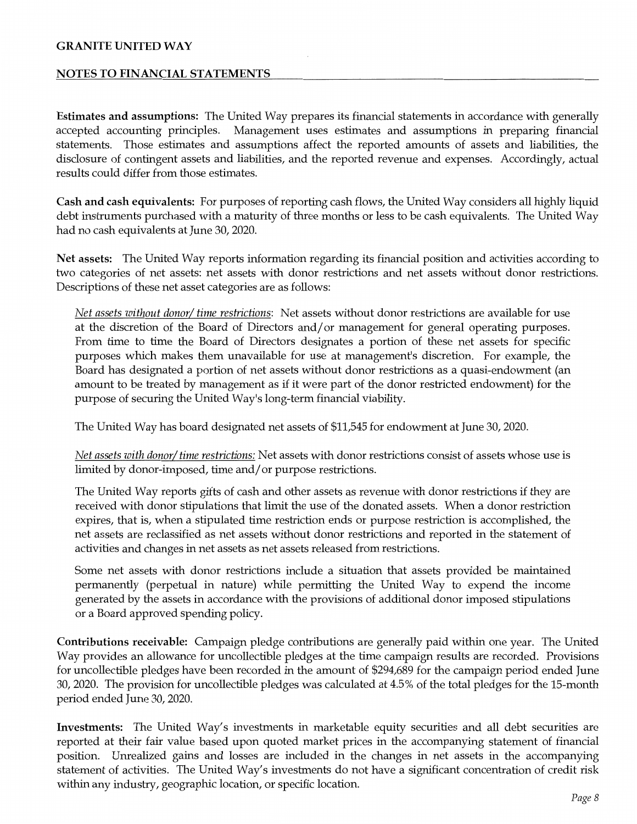### **NOTES TO FINANCIAL STATEMENTS**

**Estimates and assumptions:** The United Way prepares its financial statements in accordance with generally accepted accounting principles. Management uses estimates and assumptions in preparing financial statements. Those estimates and assumptions affect the reported amounts of assets and liabilities, the disclosure of contingent assets and liabilities, and the reported revenue and expenses. Accordingly, actual results could differ from those estimates.

**Cash and cash equivalents:** For purposes of reporting cash flows, the United Way considers all highly liquid debt instruments purchased with a maturity of three months or less to be cash equivalents. The United Way had no cash equivalents at June 30, 2020.

**Net assets:** The United Way reports information regarding its financial position and activities according to two categories of net assets: net assets with donor restrictions and net assets without donor restrictions. Descriptions of these net asset categories are as follows:

*Net assets without donor/ time restrictions:* Net assets without donor restrictions are available for use at the discretion of the Board of Directors and/ or management for general operating purposes. From time to time the Board of Directors designates a portion of these net assets for specific purposes which makes them unavailable for use at management's discretion. For example, the Board has designated a portion of net assets without donor restrictions as a quasi-endowment (an amount to be treated by management as if it were part of the donor restricted endowment) for the purpose of securing the United Way's long-term financial viability.

The United Way has board designated net assets of \$11,545 for endowment at June 30, 2020.

*Net assets with donor/time restrictions:* Net assets with donor restrictions consist of assets whose use is limited by donor-imposed, time and/ or purpose restrictions.

The United Way reports gifts of cash and other assets as revenue with donor restrictions if they are received with donor stipulations that limit the use of the donated assets. When a donor restriction expires, that is, when a stipulated time restriction ends or purpose restriction is accomplished, the net assets are reclassified as net assets without donor restrictions and reported in the statement of activities and changes in net assets as net assets released from restrictions.

Some net assets with donor restrictions include a situation that assets provided be maintained permanently (perpetual in nature) while permitting the United Way to expend the income generated by the assets in accordance with the provisions of additional donor imposed stipulations or a Board approved spending policy.

**Contributions receivable:** Campaign pledge contributions are generally paid within one year. The United Way provides an allowance for uncollectible pledges at the time campaign results are recorded. Provisions for uncollectible pledges have been recorded in the amount of \$294,689 for the campaign period ended June 30, 2020. The provision for uncollectible pledges was calculated at 4.5% of the total pledges for the 15-month period ended June 30, 2020.

**Investments:** The United Way's investments in marketable equity securities and all debt securities are reported at their fair value based upon quoted market prices in the accompanying statement of financial position. Unrealized gains and losses are included in the changes in net assets in the accompanying statement of activities. The United Way's investments do not have a significant concentration of credit risk within any industry, geographic location, or specific location.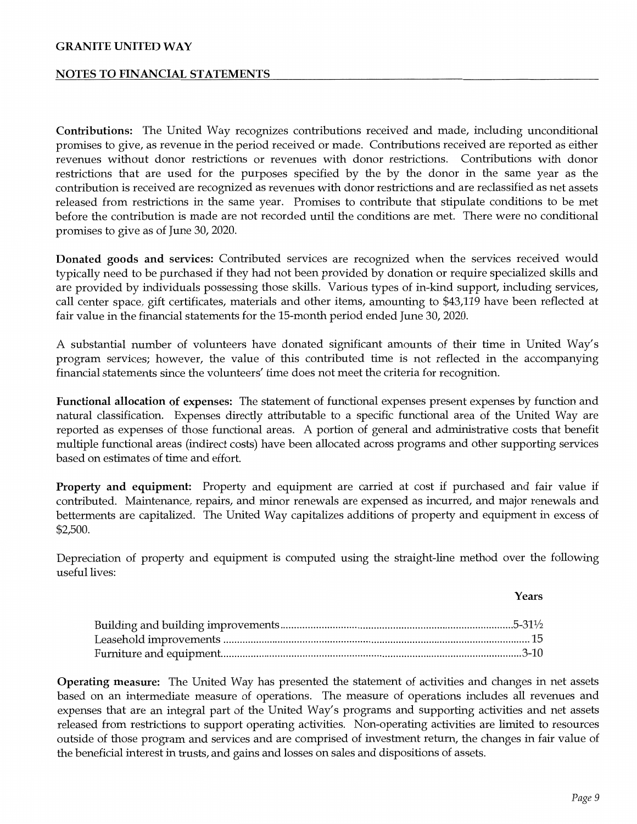#### **NOTES TO FINANCIAL STATEMENTS**

**Contributions:** The United Way recognizes contributions received and made, including unconditional promises to give, as revenue in the period received or made. Contributions received are reported as either revenues without donor restrictions or revenues with donor restrictions. Contributions with donor restrictions that are used for the purposes specified by the by the donor in the same year as the contribution is received are recognized as revenues with donor restrictions and are reclassified as net assets released from restrictions in the same year. Promises to contribute that stipulate conditions to be met before the contribution is made are not recorded until the conditions are met. There were no conditional promises to give as of June 30, 2020.

**Donated goods and services:** Contributed services are recognized when the services received would typically need to be purchased if they had not been provided by donation or require specialized skills and are provided by individuals possessing those skills. Various types of in-kind support, including services, call center space, gift certificates, materials and other items, amounting to \$43,119 have been reflected at fair value in the financial statements for the 15-month period ended June 30, 2020.

A substantial number of volunteers have donated significant amounts of their time in United Way's program services; however, the value of this contributed time is not reflected in the accompanying financial statements since the volunteers' time does not meet the criteria for recognition.

**Functional allocation of expenses:** The statement of functional expenses present expenses by function and natural classification. Expenses directly attributable to a specific functional area of the United Way are reported as expenses of those functional areas. A portion of general and administrative costs that benefit multiple functional areas (indirect costs) have been allocated across programs and other supporting services based on estimates of time and effort.

**Property and equipment:** Property and equipment are carried at cost if purchased and fair value if contributed. Maintenance, repairs, and minor renewals are expensed as incurred, and major renewals and betterments are capitalized. The United Way capitalizes additions of property and equipment in excess of \$2,500.

Depreciation of property and equipment is computed using the straight-line method over the following useful lives:

**Years** 

**Operating measure:** The United Way has presented the statement of activities and changes in net assets based on an intermediate measure of operations. The measure of operations includes all revenues and expenses that are an integral part of the United Way's programs and supporting activities and net assets released from restrictions to support operating activities. Non-operating activities are limited to resources outside of those program and services and are comprised of investment return, the changes in fair value of the beneficial interest in trusts, and gains and losses on sales and dispositions of assets.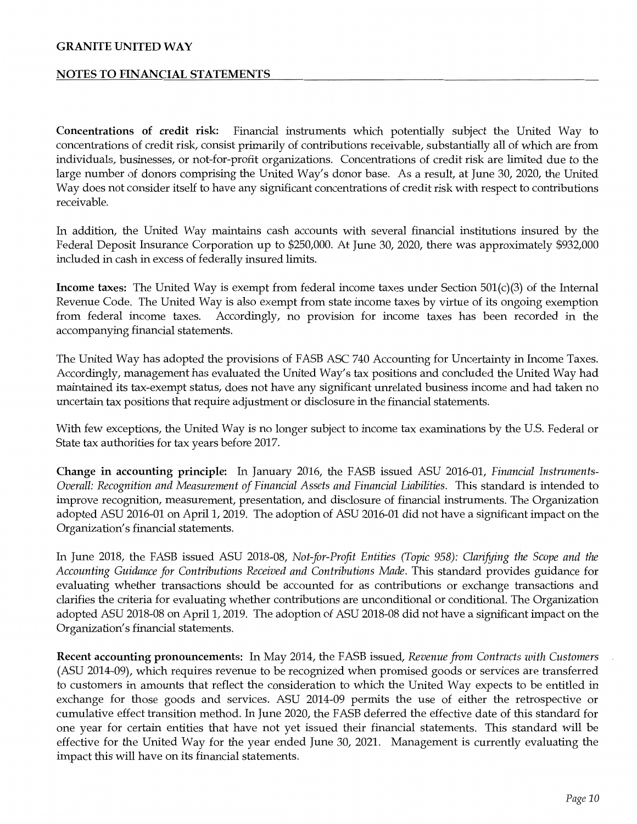#### **NOTES TO FINANCIAL STATEMENTS**

**Concentrations of credit risk:** Financial instruments which potentially subject the United Way to concentrations of credit risk, consist primarily of contributions receivable, substantially all of which are from individuals, businesses, or not-for-profit organizations. Concentrations of credit risk are limited due to the large number of donors comprising the United Way's donor base. As a result, at June 30, 2020, the United Way does not consider itself to have any significant concentrations of credit risk with respect to contributions receivable.

In addition, the United Way maintains cash accounts with several financial institutions insured by the Federal Deposit Insurance Corporation up to \$250,000. At June 30, 2020, there was approximately \$932,000 included in cash in excess of federally insured limits.

**Income taxes:** The United Way is exempt from federal income taxes under Section 501(c)(3) of the Internal Revenue Code. The United Way is also exempt from state income taxes by virtue of its ongoing exemption from federal income taxes. Accordingly, no provision for income taxes has been recorded in the accompanying financial statements.

The United Way has adopted the provisions of FASB ASC 740 Accounting for Uncertainty in Income Taxes. Accordingly, management has evaluated the United Way's tax positions and concluded the United Way had maintained its tax-exempt status, does not have any significant umelated business income and had taken no uncertain tax positions that require adjustment or disclosure in the financial statements.

With few exceptions, the United Way is no longer subject to income tax examinations by the U.S. Federal or State tax authorities for tax years before 2017.

**Change in accounting principle:** In January 2016, the FASB issued ASU 2016-01, *Financial Instntments-Overall: Recognition and Measurement of Financial Assets and Financial Liabilities.* This standard is intended to improve recognition, measurement, presentation, and disclosure of financial instruments. The Organization adopted ASU 2016-01 on April 1, 2019. The adoption of ASU 2016-01 did not have a significant impact on the Organization's financial statements.

In June 2018, the FASB issued ASU 2018-08, *Not-for-Profit Entities (Topic 958): Clarifying the Scope and the Accounting Guidance for Contributions Received and Contributions Made.* This standard provides guidance for evaluating whether transactions should be accounted for as contributions or exchange transactions and clarifies the criteria for evaluating whether contributions are unconditional or conditional. The Organization adopted ASU 2018-08 on April 1, 2019. The adoption of ASU 2018-08 did not have a significant impact on the Organization's financial statements.

**Recent accounting pronouncements:** In May 2014, the FASB issued, *Revenue from Contracts with Customers*  (ASU 2014-09), which requires revenue to be recognized when promised goods or services are transferred to customers in amounts that reflect the consideration to which the United Way expects to be entitled in exchange for those goods and services. ASU 2014-09 permits the use of either the retrospective or cumulative effect transition method. In June 2020, the F ASB deferred the effective date of this standard for one year for certain entities that have not yet issued their financial statements. This standard will be effective for the United Way for the year ended June 30, 2021. Management is currently evaluating the impact this will have on its financial statements.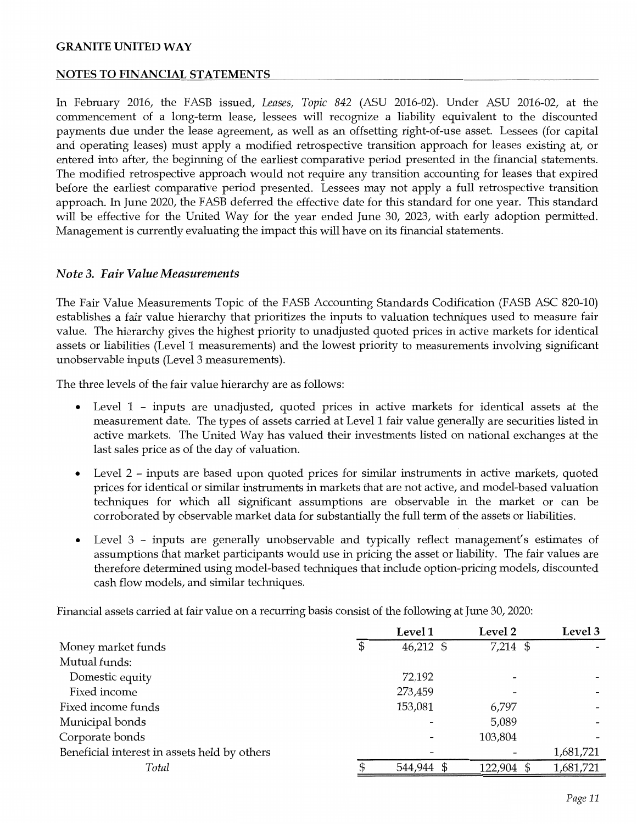## **NOTES TO FINANCIAL STATEMENTS**

In February 2016, the FASB issued, *Leases, Topic 842* (ASU 2016-02). Under ASU 2016-02, at the commencement of a long-term lease, lessees will recognize a liability equivalent to the discounted payments due under the lease agreement, as well as an offsetting right-of-use asset. Lessees (for capital and operating leases) must apply a modified retrospective transition approach for leases existing at, or entered into after, the beginning of the earliest comparative period presented in the financial statements. The modified retrospective approach would not require any transition accounting for leases that expired before the earliest comparative period presented. Lessees may not apply a full retrospective transition approach. In June 2020, the FASB deferred the effective date for this standard for one year. This standard will be effective for the United Way for the year ended June 30, 2023, with early adoption permitted. Management is currently evaluating the impact this will have on its financial statements.

#### *Note* **3.** *Fair Value Measurements*

The Fair Value Measurements Topic of the FASB Accounting Standards Codification (FASB ASC 820-10) establishes a fair value hierarchy that prioritizes the inputs to valuation techniques used to measure fair value. The hierarchy gives the highest priority to unadjusted quoted prices in active markets for identical assets or liabilities (Level 1 measurements) and the lowest priority to measurements involving significant unobservable inputs (Level 3 measurements).

The three levels of the fair value hierarchy are as follows:

- Level 1 inputs are unadjusted, quoted prices in active markets for identical assets at the measurement date. The types of assets carried at Level 1 fair value generally are securities listed in active markets. The United Way has valued their investments listed on national exchanges at the last sales price as of the day of valuation.
- Level 2 inputs are based upon quoted prices for similar instruments in active markets, quoted prices for identical or similar instruments in markets that are not active, and model-based valuation techniques for which all significant assumptions are observable in the market or can be corroborated by observable market data for substantially the full term of the assets or liabilities.
- Level 3 inputs are generally unobservable and typically reflect management's estimates of assumptions that market participants would use in pricing the asset or liability. The fair values are therefore determined using model-based techniques that include option-pricing models, discounted cash flow models, and similar techniques.

Financial assets carried at fair value on a recurring basis consist of the following at June 30, 2020:

|                                              | Level 1   | Level 2    | Level 3   |
|----------------------------------------------|-----------|------------|-----------|
| Money market funds                           | 46,212 \$ | $7,214$ \$ |           |
| Mutual funds:                                |           |            |           |
| Domestic equity                              | 72,192    |            |           |
| Fixed income                                 | 273,459   |            |           |
| Fixed income funds                           | 153,081   | 6,797      |           |
| Municipal bonds                              |           | 5,089      |           |
| Corporate bonds                              |           | 103,804    |           |
| Beneficial interest in assets held by others |           |            | 1,681,721 |
| Total                                        | 544.944   | 122,904 \$ | 1,681,721 |
|                                              |           |            |           |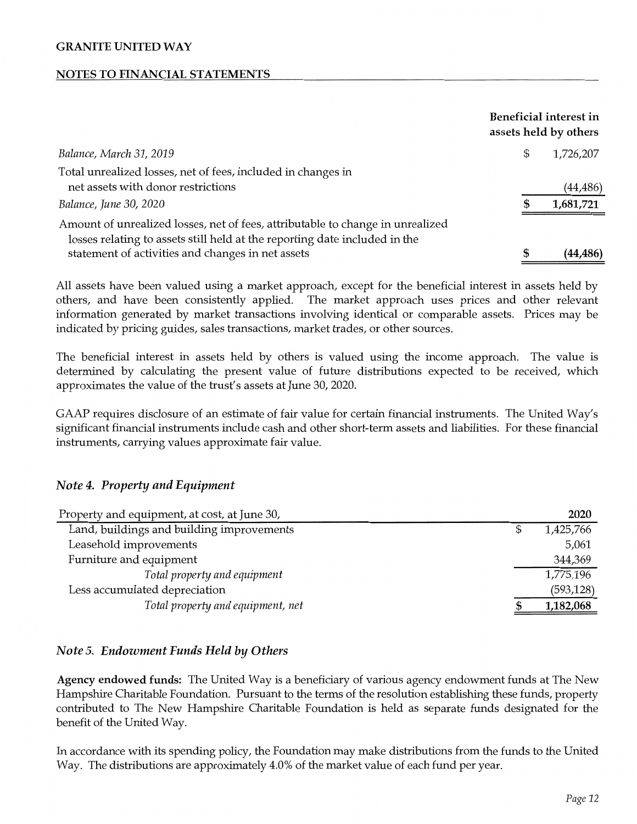## **NOTES TO FINANCIAL STATEMENTS**

|                                                                                                                                                                                                                   | Beneficial interest in<br>assets held by others |           |  |  |
|-------------------------------------------------------------------------------------------------------------------------------------------------------------------------------------------------------------------|-------------------------------------------------|-----------|--|--|
| Balance, March 31, 2019                                                                                                                                                                                           | \$                                              | 1,726,207 |  |  |
| Total unrealized losses, net of fees, included in changes in<br>net assets with donor restrictions                                                                                                                |                                                 | (44,486)  |  |  |
| Balance, June 30, 2020                                                                                                                                                                                            | S                                               | 1,681,721 |  |  |
| Amount of unrealized losses, net of fees, attributable to change in unrealized<br>losses relating to assets still held at the reporting date included in the<br>statement of activities and changes in net assets | \$                                              | (44,486)  |  |  |

All assets have been valued using a market approach, except for the beneficial interest in assets held by others, and have been consistently applied. The market approach uses prices and other relevant information generated by market transactions involving identical or comparable assets. Prices may be indicated by pricing guides, sales transactions, market trades, or other sources.

The beneficial interest in assets held by others is valued using the income approach. The value is determined by calculating the present value of future distributions expected to be received, which approximates the value of the trust's assets at June 30, 2020.

GAAP requires disclosure of an estimate of fair value for certain financial instruments. The United Way's significant financial instruments include cash and other short-term assets and liabilities. For these financial instruments, carrying values approximate fair value.

# *Note 4. Property and Equipment*

| Property and equipment, at cost, at June 30, | 2020       |
|----------------------------------------------|------------|
| Land, buildings and building improvements    | 1,425,766  |
| Leasehold improvements                       | 5,061      |
| Furniture and equipment                      | 344,369    |
| Total property and equipment                 | 1,775,196  |
| Less accumulated depreciation                | (593, 128) |
| Total property and equipment, net            | 1,182,068  |

#### *Note* 5. *Endowment Funds Held by Others*

**Agency endowed funds:** The United Way is a beneficiary of various agency endowment funds at The New Hampshire Charitable Foundation. Pursuant to the terms of the resolution establishing these funds, property contributed to The New Hampshire Charitable Foundation is held as separate funds designated for the benefit of the United Way.

In accordance with its spending policy, the Foundation may make distributions from the funds to the United Way. The distributions are approximately 4.0% of the market value of each fund per year.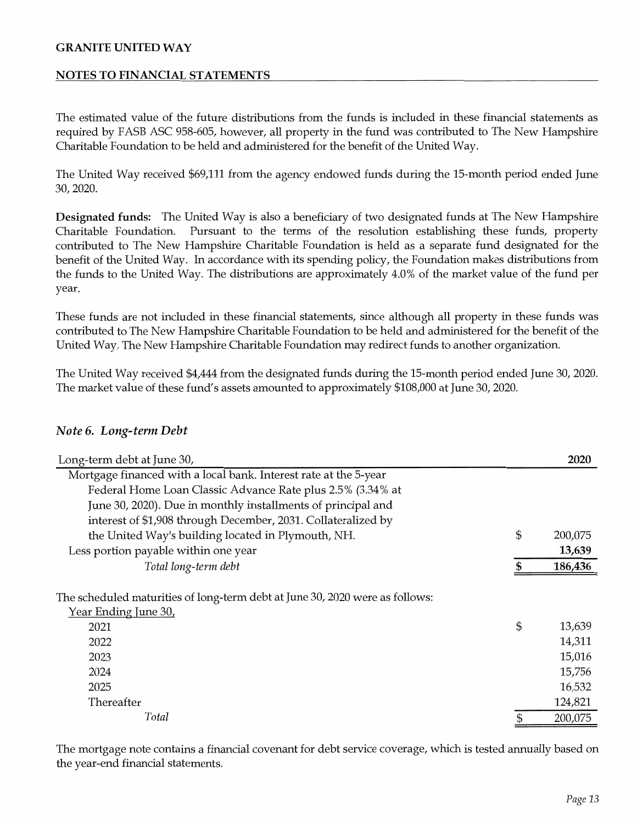## **NOTES TO FINANCIAL STATEMENTS**

The estimated value of the future distributions from the funds is included in these financial statements as required by FASB ASC 958-605, however, all property in the fund was contributed to The New Hampshire Charitable Foundation to be held and administered for the benefit of the United Way.

The United Way received \$69,111 from the agency endowed funds during the 15-month period ended June 30, 2020.

**Designated funds:** The United Way is also a beneficiary of two designated funds at The New Hampshire Charitable Foundation. Pursuant to the terms of the resolution establishing these funds, property contributed to The New Hampshire Charitable Foundation is held as a separate fund designated for the benefit of the United Way. In accordance with its spending policy, the Foundation makes distributions from the funds to the United Way. The distributions are approximately 4.0% of the market value of the fund per year.

These funds are not included in these financial statements, since although all property in these funds was contributed to The New Hampshire Charitable Foundation to be held and administered for the benefit of the United Way, The New Hampshire Charitable Foundation may redirect funds to another organization.

The United Way received \$4,444 from the designated funds during the 15-month period ended June 30, 2020. The market value of these fund's assets amounted to approximately \$108,000 at June 30, 2020.

#### *Note* **6.** *Long-term Debt*

| Long-term debt at June 30,                                                   | 2020          |
|------------------------------------------------------------------------------|---------------|
| Mortgage financed with a local bank. Interest rate at the 5-year             |               |
| Federal Home Loan Classic Advance Rate plus 2.5% (3.34% at                   |               |
| June 30, 2020). Due in monthly installments of principal and                 |               |
| interest of \$1,908 through December, 2031. Collateralized by                |               |
| the United Way's building located in Plymouth, NH.                           | \$<br>200,075 |
| Less portion payable within one year                                         | 13,639        |
| Total long-term debt                                                         | 186,436       |
| The scheduled maturities of long-term debt at June 30, 2020 were as follows: |               |
| Year Ending June 30,                                                         |               |
| 2021                                                                         | \$<br>13,639  |
| 2022                                                                         | 14,311        |
| 2023                                                                         | 15,016        |
| 2024                                                                         | 15,756        |
| 2025                                                                         | 16,532        |
| Thereafter                                                                   | 124,821       |
| Total                                                                        | 200,075       |

The mortgage note contains a financial covenant for debt service coverage, which is tested annually based on the year-end financial statements.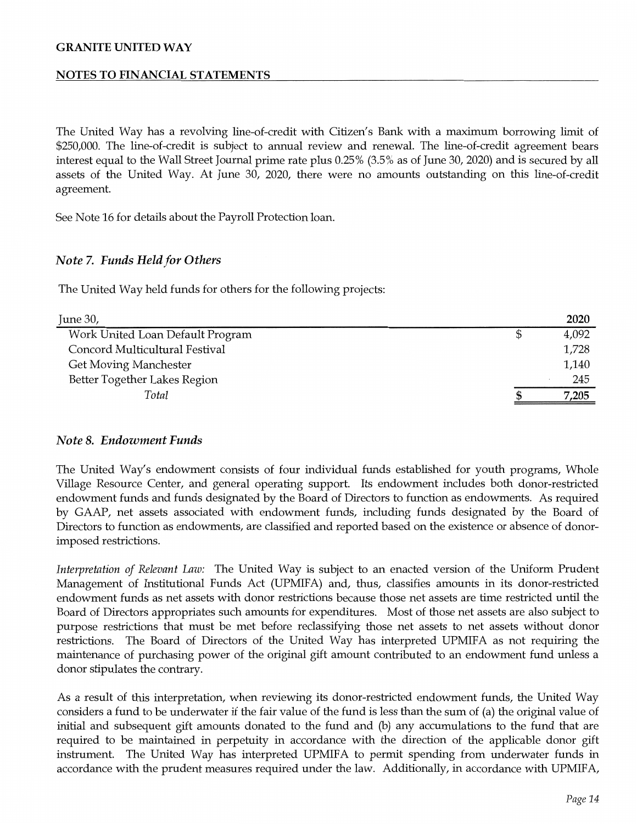# **NOTES TO FINANCIAL STATEMENTS**

The United Way has a revolving line-of-credit with Citizen's Bank with a maximum borrowing limit of \$250,000. The line-of-credit is subject to annual review and renewal. The line-of-credit agreement bears interest equal to the Wall Street Journal prime rate plus 0.25% (3.5% as of June 30, 2020) and is secured by all assets of the United Way. At June 30, 2020, there were no amounts outstanding on this line-of-credit agreement.

See Note 16 for details about the Payroll Protection loan.

# *Note* **7.** *Funds Held for Others*

The United Way held funds for others for the following projects:

| 2020        |
|-------------|
| \$<br>4,092 |
| 1,728       |
| 1,140       |
| 245         |
| 7,205       |
|             |

# *Note 8. Endowment Funds*

The United Way's endowment consists of four individual funds established for youth programs, Whole Village Resource Center, and general operating support. Its endowment includes both donor-restricted endowment funds and funds designated by the Board of Directors to function as endowments. As required by GAAP, net assets associated with endowment funds, including funds designated by the Board of Directors to function as endowments, are classified and reported based on the existence or absence of donorimposed restrictions.

*Interpretation of Relevant* Law: The United Way is subject to an enacted version of the Uniform Prudent Management of Institutional Funds Act (UPMIFA) and, thus, classifies amounts in its donor-restricted endowment funds as net assets with donor restrictions because those net assets are time restricted until the Board of Directors appropriates such amounts for expenditures. Most of those net assets are also subject to purpose restrictions that must be met before reclassifying those net assets to net assets without donor restrictions. The Board of Directors of the United Way has interpreted UPMIFA as not requiring the maintenance of purchasing power of the original gift amount contributed to an endowment fund unless a donor stipulates the contrary.

As a result of this interpretation, when reviewing its donor-restricted endowment funds, the United Way considers a fund to be underwater if the fair value of the fund is less than the sum of (a) the original value of initial and subsequent gift amounts donated to the fund and (b) any accumulations to the fund that are required to be maintained in perpetuity in accordance with the direction of the applicable donor gift instrument. The United Way has interpreted UPMIFA to permit spending from underwater funds in accordance with the prudent measures required under the law. Additionally, in accordance with UPMIFA,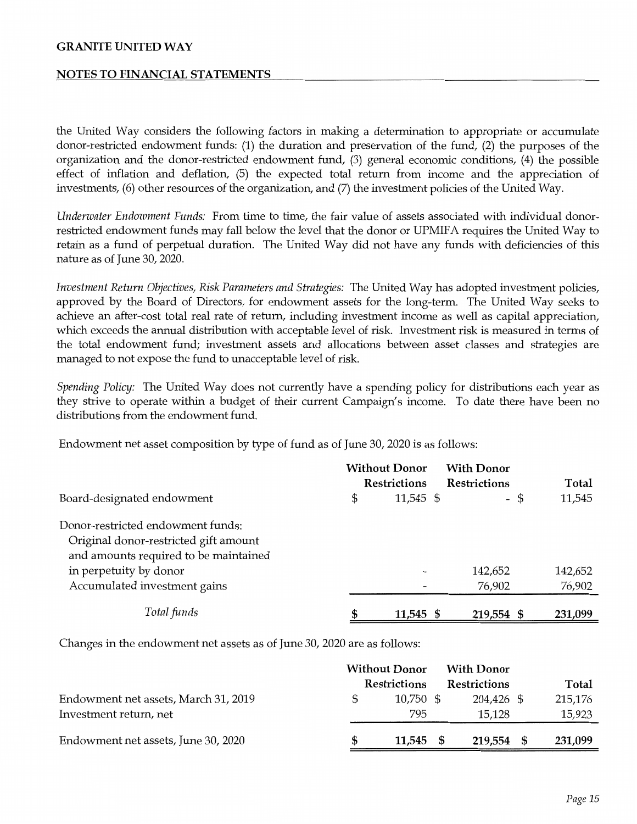#### **NOTES TO FINANCIAL STATEMENTS**

the United Way considers the following factors in making a determination to appropriate or accumulate donor-restricted endowment funds: (1) the duration and preservation of the fund, (2) the purposes of the organization and the donor-restricted endowment fund, (3) general economic conditions, (4) the possible effect of inflation and deflation, (5) the expected total return from income and the appreciation of investments, (6) other resources of the organization, and (7) the investment policies of the United Way.

*Undenvater Endowment Funds:* From time to time, the fair value of assets associated with individual donorrestricted endowment funds may fall below the level that the donor or UPMIFA requires the United Way to retain as a fund of perpetual duration. The United Way did not have any funds with deficiencies of this nature as of June 30, 2020.

*Investment Return Objectives, Risk Parameters and Strategies:* The United Way has adopted investment policies, approved by the Board of Directors, for endowment assets for the long-term. The United Way seeks to achieve an after-cost total real rate of return, including investment income as well as capital appreciation, which exceeds the annual distribution with acceptable level of risk. Investment risk is measured in terms of the total endowment fund; investment assets and allocations between asset classes and strategies are managed to not expose the fund to unacceptable level of risk.

*Spending Policy:* The United Way does not currently have a spending policy for distributions each year as they strive to operate within a budget of their current Campaign's income. To date there have been no distributions from the endowment fund.

Endowment net asset composition by type of fund as of June 30, 2020 is as follows:

|                                                                                                                     | <b>Without Donor</b><br><b>Restrictions</b> |           | <b>With Donor</b><br><b>Restrictions</b> | Total          |  |
|---------------------------------------------------------------------------------------------------------------------|---------------------------------------------|-----------|------------------------------------------|----------------|--|
| Board-designated endowment                                                                                          | \$                                          | 11,545 \$ |                                          | 11,545<br>- \$ |  |
| Donor-restricted endowment funds:<br>Original donor-restricted gift amount<br>and amounts required to be maintained |                                             |           |                                          |                |  |
| in perpetuity by donor                                                                                              |                                             |           | 142,652                                  | 142,652        |  |
| Accumulated investment gains                                                                                        |                                             |           | 76,902                                   | 76,902         |  |
| Total funds                                                                                                         |                                             | 11,545 \$ | 219,554 \$                               | 231,099        |  |

Changes in the endowment net assets as of June 30, 2020 are as follows:

|                                      | <b>Without Donor</b> |                     | <b>With Donor</b>   |      |         |
|--------------------------------------|----------------------|---------------------|---------------------|------|---------|
|                                      |                      | <b>Restrictions</b> | <b>Restrictions</b> |      | Total   |
| Endowment net assets, March 31, 2019 |                      | 10.750 \$           | 204,426 \$          |      | 215,176 |
| Investment return, net               |                      | 795                 | 15.128              |      | 15,923  |
| Endowment net assets, June 30, 2020  |                      | 11.545 \$           | 219,554             | - \$ | 231,099 |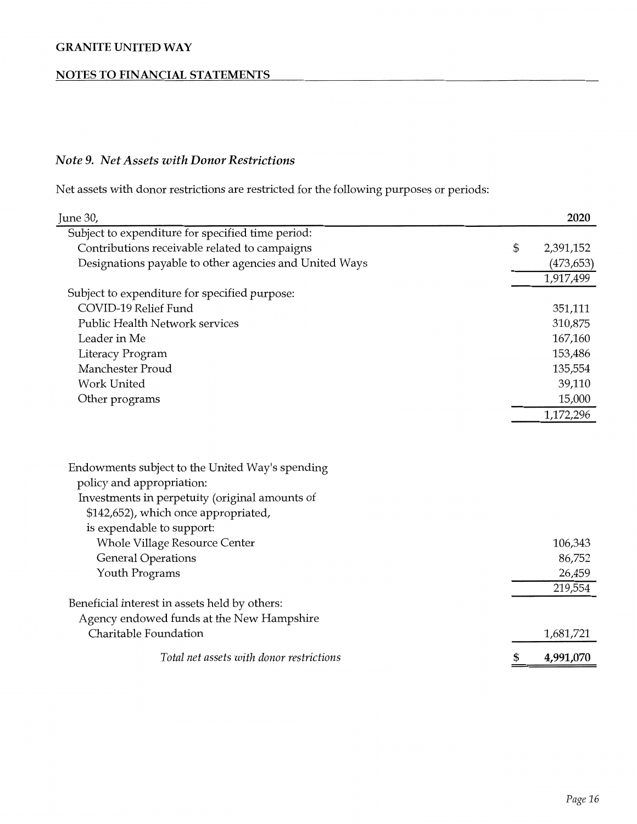# **NOTES TO FINANCIAL STATEMENTS**

# *Note* 9. *Net Assets with Donor Restrictions*

Net assets with donor restrictions are restricted for the following purposes or periods:

| June 30,                                                                                                                                                               | 2020            |
|------------------------------------------------------------------------------------------------------------------------------------------------------------------------|-----------------|
| Subject to expenditure for specified time period:                                                                                                                      |                 |
| Contributions receivable related to campaigns                                                                                                                          | \$<br>2,391,152 |
| Designations payable to other agencies and United Ways                                                                                                                 | (473, 653)      |
|                                                                                                                                                                        | 1,917,499       |
| Subject to expenditure for specified purpose:                                                                                                                          |                 |
| COVID-19 Relief Fund                                                                                                                                                   | 351,111         |
| Public Health Network services                                                                                                                                         | 310,875         |
| Leader in Me                                                                                                                                                           | 167,160         |
| Literacy Program                                                                                                                                                       | 153,486         |
| Manchester Proud                                                                                                                                                       | 135,554         |
| Work United                                                                                                                                                            | 39,110          |
| Other programs                                                                                                                                                         | 15,000          |
|                                                                                                                                                                        | 1,172,296       |
| Endowments subject to the United Way's spending<br>policy and appropriation:<br>Investments in perpetuity (original amounts of<br>\$142,652), which once appropriated, |                 |
| is expendable to support:                                                                                                                                              |                 |
| Whole Village Resource Center                                                                                                                                          | 106,343         |
| <b>General Operations</b>                                                                                                                                              | 86,752          |
| Youth Programs                                                                                                                                                         | 26,459          |
|                                                                                                                                                                        | 219,554         |
| Beneficial interest in assets held by others:                                                                                                                          |                 |
| Agency endowed funds at the New Hampshire                                                                                                                              |                 |
| Charitable Foundation                                                                                                                                                  | 1,681,721       |
| Total net assets with donor restrictions                                                                                                                               | \$<br>4,991,070 |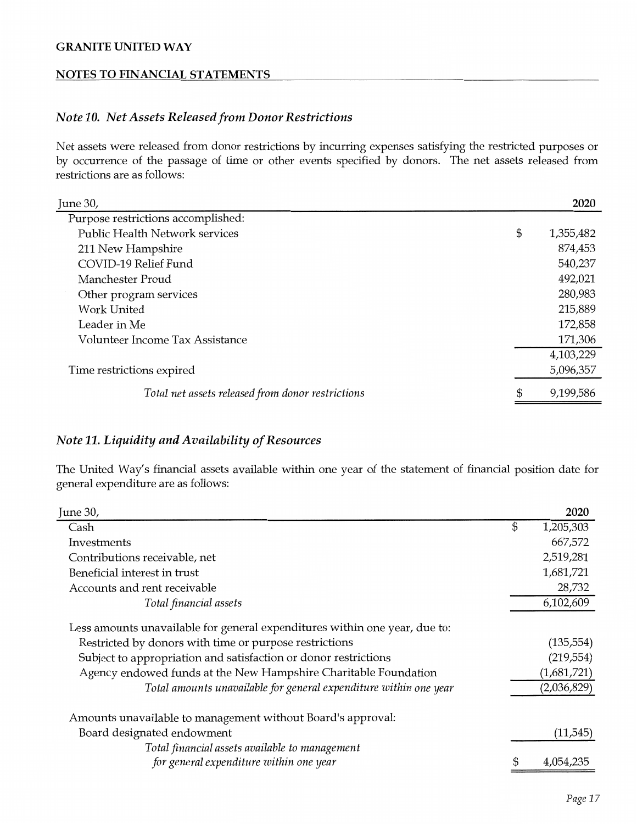## **NOTES TO FINANCIAL STATEMENTS**

# *Note 10. Net Assets Released from Donor Restrictions*

Net assets were released from donor restrictions by incurring expenses satisfying the restricted purposes or by occurrence of the passage of time or other events specified by donors. The net assets released from restrictions are as follows:

| June 30,                                          | 2020            |
|---------------------------------------------------|-----------------|
| Purpose restrictions accomplished:                |                 |
| <b>Public Health Network services</b>             | \$<br>1,355,482 |
| 211 New Hampshire                                 | 874,453         |
| COVID-19 Relief Fund                              | 540,237         |
| Manchester Proud                                  | 492,021         |
| Other program services                            | 280,983         |
| Work United                                       | 215,889         |
| Leader in Me                                      | 172,858         |
| Volunteer Income Tax Assistance                   | 171,306         |
|                                                   | 4,103,229       |
| Time restrictions expired                         | 5,096,357       |
| Total net assets released from donor restrictions | 9,199,586       |

# *Note 11. Liquidity and Availability of Resources*

The United Way's financial assets available within one year of the statement of financial position date for general expenditure are as follows:

| June 30,                                                                   | 2020            |
|----------------------------------------------------------------------------|-----------------|
| Cash                                                                       | \$<br>1,205,303 |
| Investments                                                                | 667,572         |
| Contributions receivable, net                                              | 2,519,281       |
| Beneficial interest in trust                                               | 1,681,721       |
| Accounts and rent receivable                                               | 28,732          |
| Total financial assets                                                     | 6,102,609       |
| Less amounts unavailable for general expenditures within one year, due to: |                 |
| Restricted by donors with time or purpose restrictions                     | (135, 554)      |
| Subject to appropriation and satisfaction or donor restrictions            | (219, 554)      |
| Agency endowed funds at the New Hampshire Charitable Foundation            | (1,681,721)     |
| Total amounts unavailable for general expenditure within one year          | (2,036,829)     |
| Amounts unavailable to management without Board's approval:                |                 |
| Board designated endowment                                                 | (11, 545)       |
| Total financial assets available to management                             |                 |
| for general expenditure within one year                                    | 4,054,235       |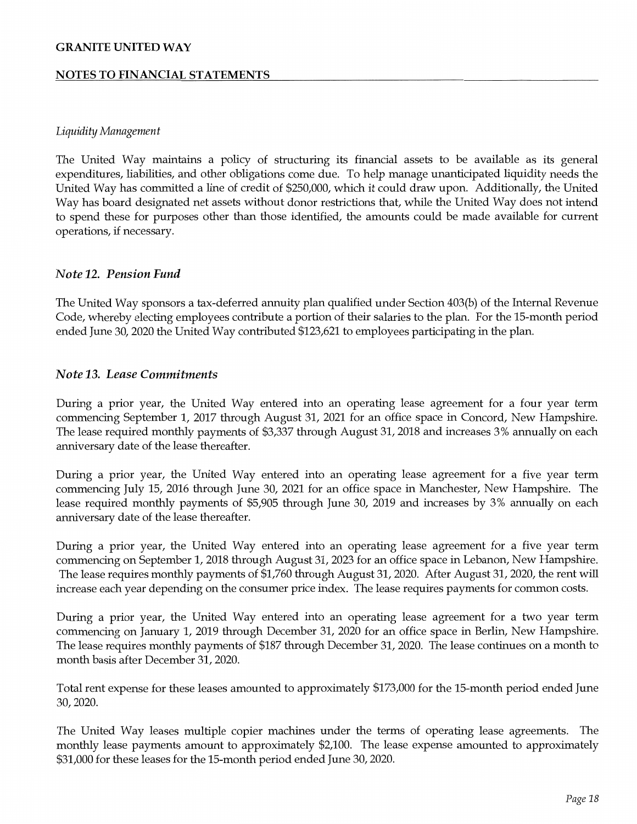### **NOTES TO FINANCIAL STATEMENTS**

#### *Liquidity Management*

The United Way maintains a policy of structuring its financial assets to be available as its general expenditures, liabilities, and other obligations come due. To help manage unanticipated liquidity needs the United Way has committed a line of credit of \$250,000, which **it** could draw upon. Additionally, the United Way has board designated net assets without donor restrictions that, while the United Way does not intend to spend these for purposes other than those identified, the amounts could be made available for current operations, if necessary.

### *Note 12. Pension Fund*

The United Way sponsors a tax-deferred annuity plan qualified under Section 403(b) of the Internal Revenue Code, whereby electing employees contribute a portion of their salaries to the plan. For the 15-month period ended June 30, 2020 the United Way contributed \$123,621 to employees participating in the plan.

### *Note 13. Lease Commitments*

During a prior year, the United Way entered into an operating lease agreement for a four year term commencing September 1, 2017 through August 31, 2021 for an office space in Concord, New Hampshire. The lease required monthly payments of \$3,337 through August 31, 2018 and increases 3% annually on each anniversary date of the lease thereafter.

During a prior year, the United Way entered into an operating lease agreement for a five year term commencing July 15, 2016 through June 30, 2021 for an office space in Manchester, New Hampshire. The lease required monthly payments of \$5,905 through June 30, 2019 and increases by 3% annually on each anniversary date of the lease thereafter.

During a prior year, the United Way entered into an operating lease agreement for a five year term commencing on September 1, 2018 through August 31, 2023 for an office space in Lebanon, New Hampshire. The lease requires monthly payments of \$1,760 through August 31, 2020. After August 31, 2020, the rent will increase each year depending on the consumer price index. The lease requires payments for common costs.

During a prior year, the United Way entered into an operating lease agreement for a two year term commencing on January 1, 2019 through December 31, 2020 for an office space in Berlin, New Hampshire. The lease requires monthly payments of \$187 through December 31, 2020. The lease continues on a month to month basis after December 31, 2020.

Total rent expense for these leases amounted to approximately \$173,000 for the 15-month period ended June 30, 2020.

The United Way leases multiple copier machines under the terms of operating lease agreements. The monthly lease payments amount to approximately \$2,100. The lease expense amounted to approximately \$31,000 for these leases for the 15-month period ended June 30, 2020.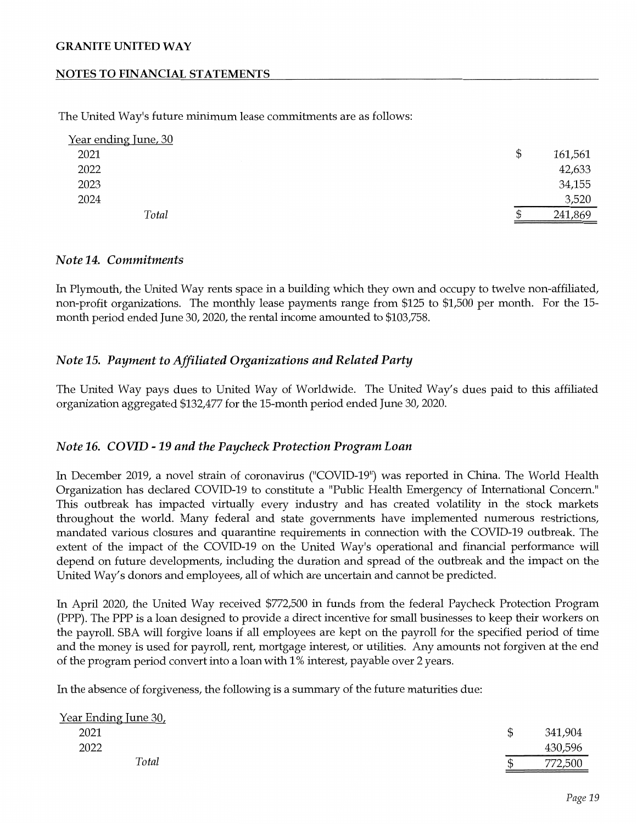#### **NOTES TO FINANCIAL STATEMENTS**

The United Way's future minimum lease commitments are as follows:

| Year ending June, 30 |               |  |
|----------------------|---------------|--|
| 2021                 | 161,561<br>\$ |  |
| 2022                 | 42,633        |  |
| 2023                 | 34,155        |  |
| 2024                 | 3,520         |  |
| Total                | 241,869       |  |

#### *Note 14. Commitments*

In Plymouth, the United Way rents space in a building which they own and occupy to twelve non-affiliated, non-profit organizations. The monthly lease payments range from \$125 to \$1,500 per month. For the 15 month period ended June 30, 2020, the rental income amounted to \$103,758.

# *Note 15. Payment to Affiliated Organizations and Related Party*

The United Way pays dues to United Way of Worldwide. The United Way's dues paid to this affiliated organization aggregated \$132,477 for the 15-month period ended June 30, 2020.

#### *Note 16. COVID -19 and the Paycheck Protection Program Loan*

In December 2019, a novel strain of coronavirus ("COVID-19") was reported in China. The World Health Organization has declared COVID-19 to constitute a "Public Health Emergency of International Concern." This outbreak has impacted virtually every industry and has created volatility in the stock markets throughout the world. Many federal and state governments have implemented numerous restrictions, mandated various closures and quarantine requirements in connection with the COVID-19 outbreak. The extent of the impact of the COVID-19 on the United Way's operational and financial performance will depend on future developments, including the duration and spread of the outbreak and the impact on the United Way's donors and employees, all of which are uncertain and cannot be predicted.

In April 2020, the United Way received \$772,500 in funds from the federal Paycheck Protection Program (PPP). The PPP is a loan designed to provide a direct incentive for small businesses to keep their workers on the payroll. SBA will forgive loans if all employees are kept on the payroll for the specified period of time and the money is used for payroll, rent, mortgage interest, or utilities. Any amounts not forgiven at the end of the program period convert into a loan with 1 % interest, payable over 2 years.

In the absence of forgiveness, the following is a summary of the future maturities due:

| Year Ending June 30, |         |
|----------------------|---------|
| 2021                 | 341,904 |
| 2022                 | 430,596 |
| Total                | 772,500 |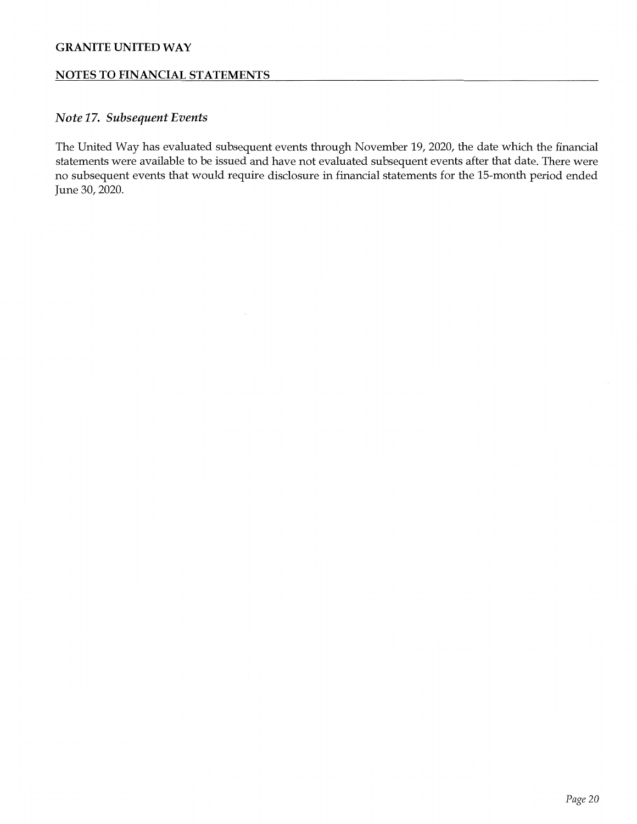# **NOTES TO FINANCIAL STATEMENTS**

# *Note 17. Subsequent Events*

The United Way has evaluated subsequent events through November 19, 2020, the date which the financial statements were available to be issued and have not evaluated subsequent events after that date. There were no subsequent events that would require disclosure in financial statements for the 15-month period ended June 30, 2020.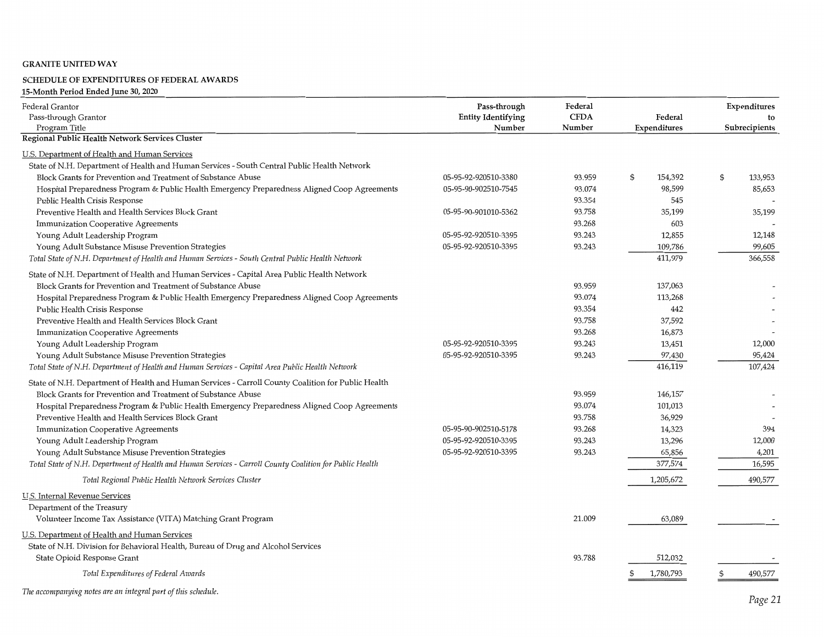#### **SCHEDULE OF EXPENDITURES OF FEDERAL AWARDS**

**15-Month Period Ended June 30, 2020** 

| Federal Grantor<br>Pass-through Grantor                                                                  | Pass-through<br><b>Entity Identifying</b> | Federal<br><b>CFDA</b> | Federal         | Expenditures<br>to |
|----------------------------------------------------------------------------------------------------------|-------------------------------------------|------------------------|-----------------|--------------------|
| Program Title                                                                                            | Number                                    | Number                 | Expenditures    | Subrecipients      |
| Regional Public Health Network Services Cluster                                                          |                                           |                        |                 |                    |
| U.S. Department of Health and Human Services                                                             |                                           |                        |                 |                    |
| State of N.H. Department of Health and Human Services - South Central Public Health Network              |                                           |                        |                 |                    |
| Block Grants for Prevention and Treatment of Substance Abuse                                             | 05-95-92-920510-3380                      | 93.959                 | \$<br>154,392   | \$<br>133,953      |
| Hospital Preparedness Program & Public Health Emergency Preparedness Aligned Coop Agreements             | 05-95-90-902510-7545                      | 93.074                 | 98,599          | 85,653             |
| Public Health Crisis Response                                                                            |                                           | 93.354                 | 545             |                    |
| Preventive Health and Health Services Block Grant                                                        | 05-95-90-901010-5362                      | 93.758                 | 35,199          | 35,199             |
| <b>Immunization Cooperative Agreements</b>                                                               |                                           | 93.268                 | 603             |                    |
| Young Adult Leadership Program                                                                           | 05-95-92-920510-3395                      | 93.243                 | 12,855          | 12,148             |
| Young Adult Substance Misuse Prevention Strategies                                                       | 05-95-92-920510-3395                      | 93.243                 | 109,786         | 99,605             |
| Total State of N.H. Department of Health and Human Services - South Central Public Health Network        |                                           |                        | 411,979         | 366,558            |
| State of N.H. Department of Health and Human Services - Capital Area Public Health Network               |                                           |                        |                 |                    |
| Block Grants for Prevention and Treatment of Substance Abuse                                             |                                           | 93.959                 | 137,063         |                    |
| Hospital Preparedness Program & Public Health Emergency Preparedness Aligned Coop Agreements             |                                           | 93.074                 | 113,268         |                    |
| Public Health Crisis Response                                                                            |                                           | 93.354                 | 442             |                    |
| Preventive Health and Health Services Block Grant                                                        |                                           | 93.758                 | 37,592          |                    |
| <b>Immunization Cooperative Agreements</b>                                                               |                                           | 93.268                 | 16,873          |                    |
| Young Adult Leadership Program                                                                           | 05-95-92-920510-3395                      | 93.243                 | 13,451          | 12,000             |
| Young Adult Substance Misuse Prevention Strategies                                                       | 05-95-92-920510-3395                      | 93.243                 | 97,430          | 95,424             |
| Total State of N.H. Department of Health and Human Services - Capital Area Public Health Network         |                                           |                        | 416,119         | 107,424            |
| State of N.H. Department of Health and Human Services - Carroll County Coalition for Public Health       |                                           |                        |                 |                    |
| Block Grants for Prevention and Treatment of Substance Abuse                                             |                                           | 93.959                 | 146,157         |                    |
| Hospital Preparedness Program & Public Health Emergency Preparedness Aligned Coop Agreements             |                                           | 93.074                 | 101,013         |                    |
| Preventive Health and Health Services Block Grant                                                        |                                           | 93.758                 | 36,929          |                    |
| Immunization Cooperative Agreements                                                                      | 05-95-90-902510-5178                      | 93.268                 | 14,323          | 394                |
| Young Adult Leadership Program                                                                           | 05-95-92-920510-3395                      | 93.243                 | 13,296          | 12,000             |
| Young Adult Substance Misuse Prevention Strategies                                                       | 05-95-92-920510-3395                      | 93.243                 | 65,856          | 4,201              |
| Total State of N.H. Department of Health and Human Services - Carroll County Coalition for Public Health |                                           |                        | 377,574         | 16,595             |
| Total Regional Public Health Network Services Cluster                                                    |                                           |                        | 1,205,672       | 490,577            |
| U.S. Internal Revenue Services                                                                           |                                           |                        |                 |                    |
| Department of the Treasury                                                                               |                                           |                        |                 |                    |
| Volunteer Income Tax Assistance (VITA) Matching Grant Program                                            |                                           | 21.009                 | 63,089          |                    |
|                                                                                                          |                                           |                        |                 |                    |
| U.S. Department of Health and Human Services                                                             |                                           |                        |                 |                    |
| State of N.H. Division for Behavioral Health, Bureau of Drug and Alcohol Services                        |                                           |                        |                 |                    |
| State Opioid Response Grant                                                                              |                                           | 93.788                 | 512,032         |                    |
| <b>Total Expenditures of Federal Awards</b>                                                              |                                           |                        | 1,780,793<br>\$ | 490,577<br>\$      |
| The accompanying notes are an integral part of this schedule.                                            |                                           |                        |                 | Page 21            |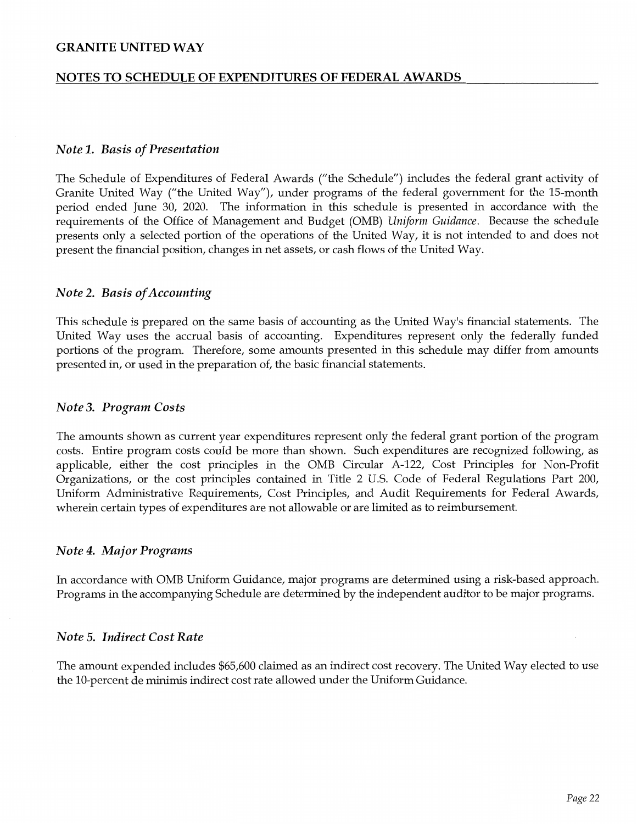# **NOTES TO SCHEDULE OF EXPENDITURES OF FEDERAL AWARDS**

### *Note* **1.** *Basis of Presentation*

The Schedule of Expenditures of Federal Awards ("the Schedule'') includes the federal grant activity of Granite United Way ("the United Way"), under programs of the federal government for the 15-month period ended June 30, 2020. The information in this schedule is presented in accordance with the requirements of the Office of Management and Budget (0MB) *Uniform Guidance.* Because the schedule presents only a selected portion of the operations of the United Way, it is not intended to and does not present the financial position, changes in net assets, or cash flows of the United Way.

### *Note 2. Basis of Accounting*

This schedule is prepared on the same basis of accounting as the United Way's financial statements. The United Way uses the accrual basis of accounting. Expenditures represent only the federally funded portions of the program. Therefore, some amounts presented in this schedule may differ from amounts presented in, or used in the preparation of, the basic financial statements.

### *Note* **3.** *Program Costs*

The amounts shown as current year expenditures represent only the federal grant portion of the program costs. Entire program costs could be more than shown. Such expenditures are recognized following, as applicable, either the cost principles in the 0MB Circular A-122, Cost Principles for Non-Profit Organizations, or the cost principles contained in Title 2 U.S. Code of Federal Regulations Part 200, Uniform Administrative Requirements, Cost Principles, and Audit Requirements for Federal Awards, wherein certain types of expenditures are not allowable or are limited as to reimbursement.

#### *Note 4. Major Programs*

In accordance with 0MB Uniform Guidance, major programs are determined using a risk-based approach. Programs in the accompanying Schedule are determined by the independent auditor to be major programs.

#### *Note* 5. *Indirect Cost Rate*

The amount expended includes \$65,600 claimed as an indirect cost recovery. The United Way elected to use the 10-percent de minimis indirect cost rate allowed under the Uniform Guidance.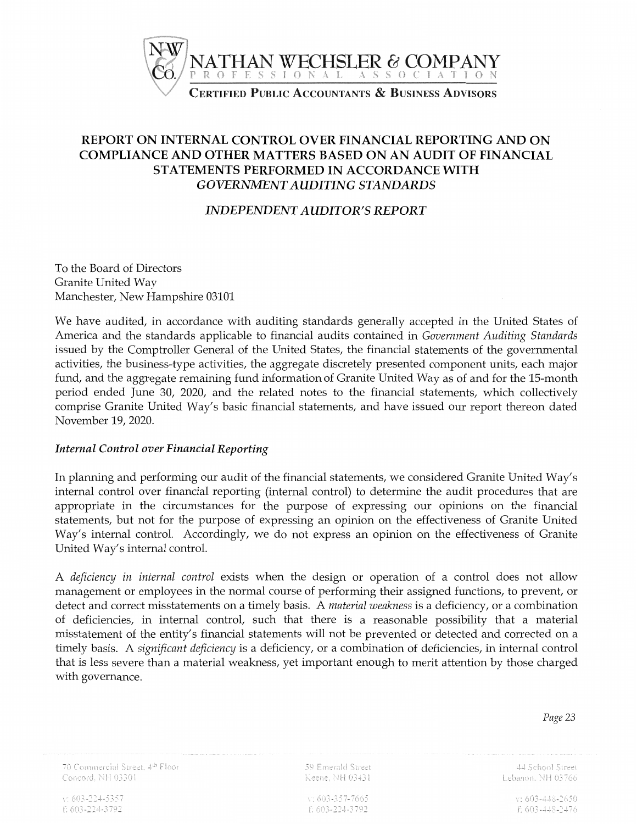

# **REPORT ON INTERNAL CONTROL OVER FINANCIAL REPORTING AND ON COMPLIANCE AND OTHER MATTERS BASED ON AN AUDIT OF FINANCIAL STATEMENTS PERFORMED IN ACCORDANCE WITH**  *GOVERNMENT AUDITING STANDARDS*

# *INDEPENDENT AUDITOR'S REPORT*

To the Board of Directors Granite United Way Manchester, New Hampshire 03101

We have audited, in accordance with auditing standards generally accepted in the United States of America and the standards applicable to financial audits contained in *Government Auditing Standards*  issued by the Comptroller General of the United States, the financial statements of the governmental activities, the business-type activities, the aggregate discretely presented component units, each major fund, and the aggregate remaining fund information of Granite United Way as of and for the 15-month period ended June 30, 2020, and the related notes to the financial statements, which collectively comprise Granite United Way's basic financial statements, and have issued our report thereon dated November 19, 2020.

#### *Internal Control over Financial Reporting*

In planning and performing our audit of the financial statements, we considered Granite United Way's internal control over financial reporting (internal control) to determine the audit procedures that are appropriate in the circumstances for the purpose of expressing our opinions on the financial statements, but not for the purpose of expressing an opinion on the effectiveness of Granite United Way's internal control. Accordingly, we do not express an opinion on the effectiveness of Granite United Way's internal control.

A *deficiency in internal control* exists when the design or operation of a control does not allow management or employees in the normal course of performing their assigned functions, to prevent, or detect and correct misstatements on a timely basis. A *material weakness* is a deficiency, or a combination of deficiencies, in internal control, such that there is a reasonable possibility that a material misstatement of the entity's financial statements will not be prevented or detected and corrected on a timely basis. A *significant deficiency* is a deficiency, or a combination of deficiencies, in internal control that is less severe than a material weakness, yet important enough to merit attention by those charged with governance.

*Page* 23

70 Commercial Street, 4th Floor Concord, NH 03301

v: 603-224-5357 f: 603-224-3792

59 Emerald Street Keene, NH 03431

v: 603-357-7665

f: 603-224-3792

44 School Street Lebanon, NH 03766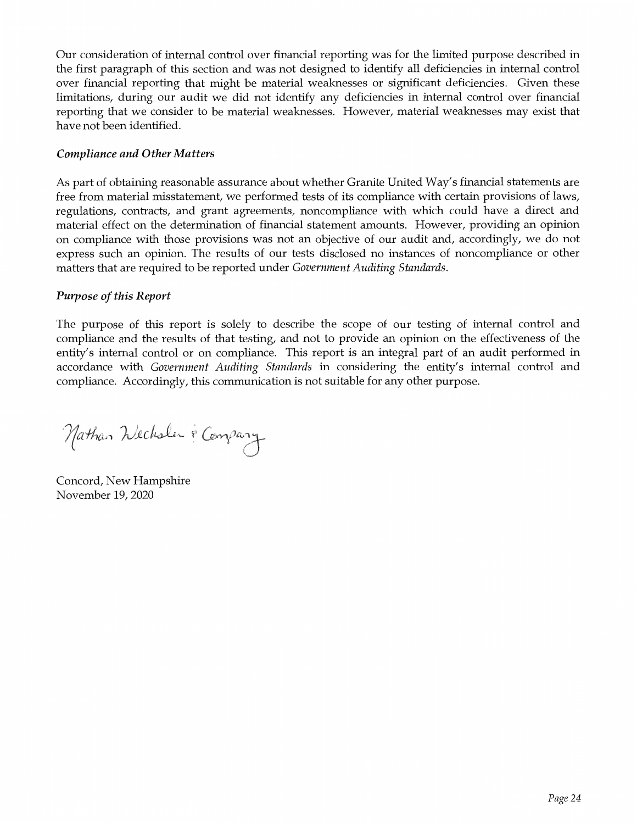Our consideration of internal control over financial reporting was for the limited purpose described in the first paragraph of this section and was not designed to identify all deficiencies in internal control over financial reporting that might be material weaknesses or significant deficiencies. Given these limitations, during our audit we did not identify any deficiencies in internal control over financial reporting that we consider to be material weaknesses. However, material weaknesses may exist that have not been identified.

# *Compliance and Other Matters*

As part of obtaining reasonable assurance about whether Granite United Way's financial statements are free from material misstatement, we performed tests of its compliance with certain provisions of laws, regulations, contracts, and grant agreements, noncompliance with which could have a direct and material effect on the determination of financial statement amounts. However, providing an opinion on compliance with those provisions was not an objective of our audit and, accordingly, we do not express such an opinion. The results of our tests disclosed no instances of noncompliance or other matters that are required to be reported under *Government Auditing Standards.* 

# *Purpose of this Report*

The purpose of this report is solely to describe the scope of our testing of internal control and compliance and the results of that testing, and not to provide an opinion on the effectiveness of the entity's internal control or on compliance. This report is an integral part of an audit performed in accordance with *Government Auditing Standards* in considering the entity's internal control and compliance. Accordingly, this communication is not suitable for any other purpose.

Nathan Wechsler & Company

Concord, New Hampshire November19,2020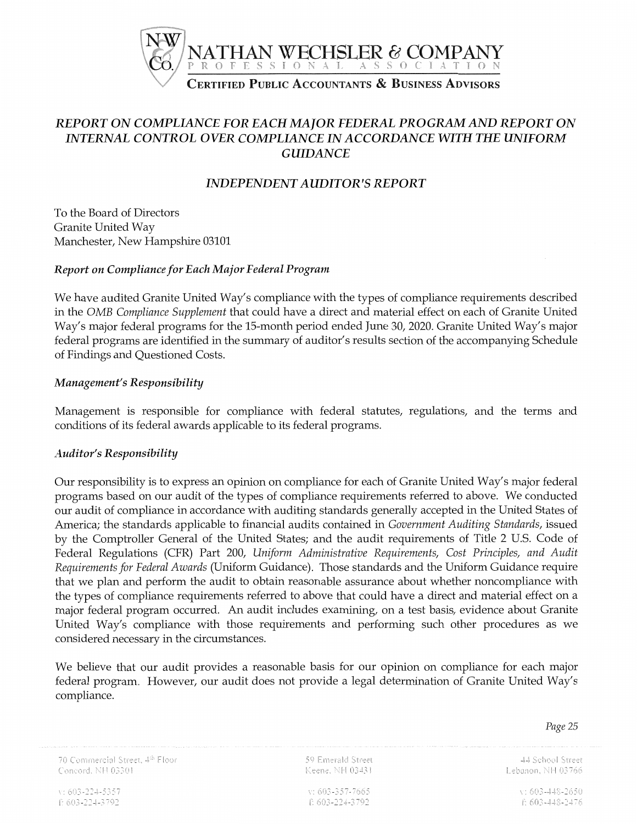

# *REPORT ON COMPLIANCE FOR EACH MAJOR FEDERAL PROGRAM AND REPORT ON INTERNAL CONTROL OVER COMPLIANCE IN ACCORDANCE WITH THE UNIFORM GUIDANCE*

# *INDEPENDENT AUDITOR'S REPORT*

To the Board of Directors Granite United Way Manchester, New Hampshire 03101

# *Report on Compliance for Each Major Federal Program*

We have audited Granite United Way's compliance with the types of compliance requirements described in the *0MB Compliance Supplement* that could have a direct and material effect on each of Granite United Way's major federal programs for the 15-month period ended June 30, 2020. Granite United Way's major federal programs are identified in the summary of auditor's results section of the accompanying Schedule of Findings and Questioned Costs.

#### *Management's Responsibility*

Management is responsible for compliance with federal statutes, regulations, and the terms and conditions of its federal awards applicable to its federal programs.

#### *Auditor's Responsibility*

Our responsibility is to express an opinion on compliance for each of Granite United Way's major federal programs based on our audit of the types of compliance requirements referred to above. We conducted our audit of compliance in accordance with auditing standards generally accepted in the United States of America; the standards applicable to financial audits contained in *Government Auditing Standards,* issued by the Comptroller General of the United States; and the audit requirements of Title 2 U.S. Code of Federal Regulations (CFR) Part 200, *Uniform Administrative Requirements, Cost Principles, and Audit Requirements for Federal Awards* (Uniform Guidance). Those standards and the Uniform Guidance require that we plan and perform the audit to obtain reasonable assurance about whether noncompliance with the types of compliance requirements referred to above that could have a direct and material effect on a major federal program occurred. An audit includes examining, on a test basis, evidence about Granite United Way's compliance with those requirements and performing such other procedures as we considered necessary in the circumstances.

We believe that our audit provides a reasonable basis for our opinion on compliance for each major federal program. However, our audit does not provide a legal determination of Granite United Way's compliance.

*Page 25* 

70 Commercial Street, 4th Floor Concord, NH 03301

v: 603-224-5357 f: 603-224-3792

59 Emerald Street Keene, NH 03431

v: 603-357-7665 f: 603-224-3792

44 School Street Lebanon, NH 03766

> $v: 603 - 448 - 2650$ f: 603-448-2476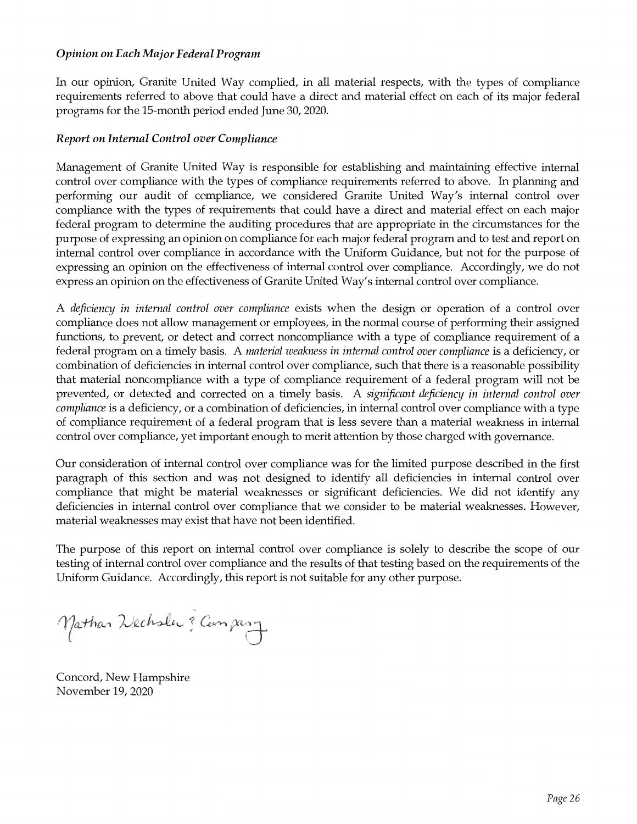## *Opinion on Each Major Federal Program*

In our opinion, Granite United Way complied, in all material respects, with the types of compliance requirements referred to above that could have a direct and material effect on each of its major federal programs for the 15-month period ended June 30, 2020.

# *Report on Internal Control over Compliance*

Management of Granite United Way is responsible for establishing and maintaining effective internal control over compliance with the types of compliance requirements referred to above. In planning and performing our audit of compliance, we considered Granite United Way's internal control over compliance with the types of requirements that could have a direct and material effect on each major federal program to determine the auditing procedures that are appropriate in the circumstances for the purpose of expressing an opinion on compliance for each major federal program and to test and report on internal control over compliance in accordance with the Uniform Guidance, but not for the purpose of expressing an opinion on the effectiveness of internal control over compliance. Accordingly, we do not express an opinion on the effectiveness of Granite United Way's internal control over compliance.

A *deficiency in intemal control over compliance* exists when the design or operation of a control over compliance does not allow management or employees, in the normal course of performing their assigned functions, to prevent, or detect and correct noncompliance with a type of compliance requirement of a federal program on a timely basis. A *material weakness in intemal control over compliance* is a deficiency, or combination of deficiencies in internal control over compliance, such that there is a reasonable possibility that material noncompliance with a type of compliance requirement of a federal program will not be prevented, or detected and corrected on a timely basis. A *significant deficiency in intemal control over compliance* is a deficiency, or a combination of deficiencies, in internal control over compliance with a type of compliance requirement of a federal program that is less severe than a material weakness in internal control over compliance, yet important enough to merit attention by those charged with governance.

Our consideration of internal control over compliance was for the limited purpose described in the first paragraph of this section and was not designed to identify all deficiencies in internal control over compliance that might be material weaknesses or significant deficiencies. We did not identify any deficiencies in internal control over compliance that we consider to be material weaknesses. However, material weaknesses may exist that have not been identified.

The purpose of this report on internal control over compliance is solely to describe the scope of our testing of internal control over compliance and the results of that testing based on the requirements of the Uniform Guidance. Accordingly, this report is not suitable for any other purpose.

Mathan Wechsler & Campany

Concord, New Hampshire November19,2020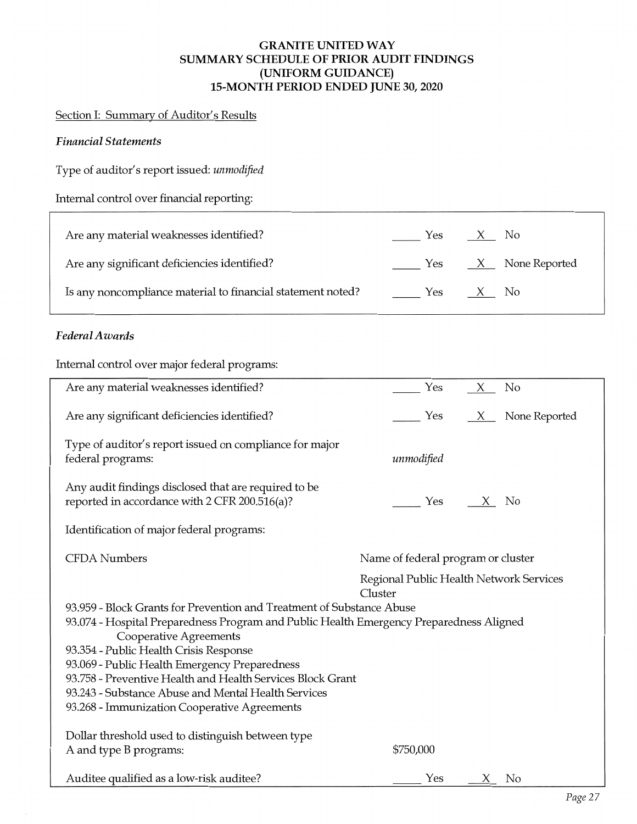# **GRANITE UNITED WAY SUMMARY** SCHEDULE **OF PRIOR AUDIT FINDINGS (UNIFORM GUIDANCE) 15-MONTH PERIOD ENDED JUNE** 30, 2020

| Section I: Summary of Auditor's Results                                                                                                                                                                                                                                                                                                                                                                                                                    |                                                    |
|------------------------------------------------------------------------------------------------------------------------------------------------------------------------------------------------------------------------------------------------------------------------------------------------------------------------------------------------------------------------------------------------------------------------------------------------------------|----------------------------------------------------|
| <b>Financial Statements</b>                                                                                                                                                                                                                                                                                                                                                                                                                                |                                                    |
| Type of auditor's report issued: unmodified                                                                                                                                                                                                                                                                                                                                                                                                                |                                                    |
| Internal control over financial reporting:                                                                                                                                                                                                                                                                                                                                                                                                                 |                                                    |
| Are any material weaknesses identified?                                                                                                                                                                                                                                                                                                                                                                                                                    | $Yes$ $X$ No                                       |
| Are any significant deficiencies identified?                                                                                                                                                                                                                                                                                                                                                                                                               | Yes $X$ None Reported                              |
| Is any noncompliance material to financial statement noted?                                                                                                                                                                                                                                                                                                                                                                                                | No<br>Yes<br>X                                     |
| <b>Federal Awards</b>                                                                                                                                                                                                                                                                                                                                                                                                                                      |                                                    |
| Internal control over major federal programs:                                                                                                                                                                                                                                                                                                                                                                                                              |                                                    |
| Are any material weaknesses identified?                                                                                                                                                                                                                                                                                                                                                                                                                    | No<br>Yes<br>X                                     |
| Are any significant deficiencies identified?                                                                                                                                                                                                                                                                                                                                                                                                               | None Reported<br>Yes<br>X                          |
| Type of auditor's report issued on compliance for major<br>federal programs:                                                                                                                                                                                                                                                                                                                                                                               | unmodified                                         |
| Any audit findings disclosed that are required to be<br>reported in accordance with 2 CFR 200.516(a)?                                                                                                                                                                                                                                                                                                                                                      | Yes<br>X No                                        |
| Identification of major federal programs:                                                                                                                                                                                                                                                                                                                                                                                                                  |                                                    |
| <b>CFDA</b> Numbers                                                                                                                                                                                                                                                                                                                                                                                                                                        | Name of federal program or cluster                 |
|                                                                                                                                                                                                                                                                                                                                                                                                                                                            | Regional Public Health Network Services<br>Cluster |
| 93.959 - Block Grants for Prevention and Treatment of Substance Abuse<br>93.074 - Hospital Preparedness Program and Public Health Emergency Preparedness Aligned<br>Cooperative Agreements<br>93.354 - Public Health Crisis Response<br>93.069 - Public Health Emergency Preparedness<br>93.758 - Preventive Health and Health Services Block Grant<br>93.243 - Substance Abuse and Mental Health Services<br>93.268 - Immunization Cooperative Agreements |                                                    |
| Dollar threshold used to distinguish between type                                                                                                                                                                                                                                                                                                                                                                                                          |                                                    |
| A and type B programs:                                                                                                                                                                                                                                                                                                                                                                                                                                     | \$750,000                                          |
| Auditee qualified as a low-risk auditee?                                                                                                                                                                                                                                                                                                                                                                                                                   | Yes<br>No<br>X.                                    |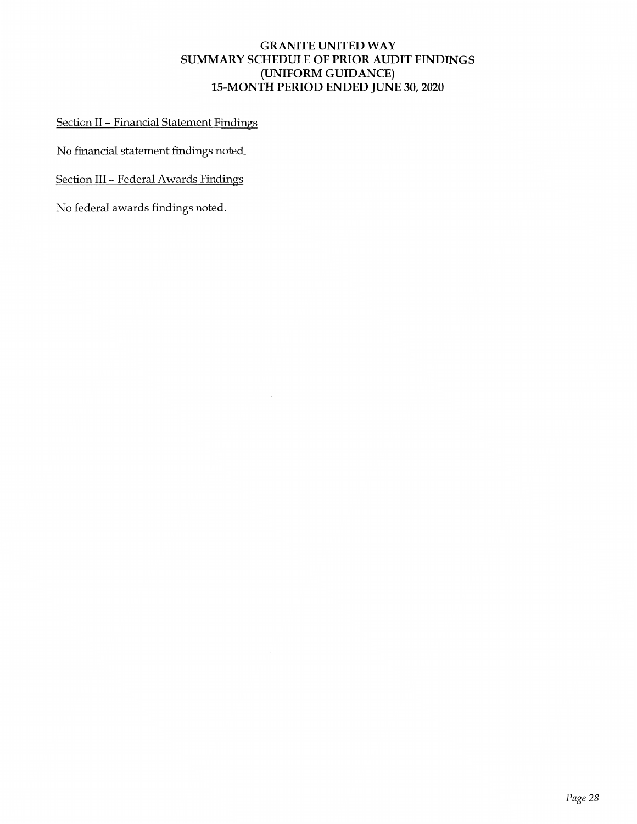# **GRANITE UNITED WAY SUMMARY SCHEDULE OF PRIOR AUDIT FINDINGS (UNIFORM GUIDANCE) 15-MONTH PERIOD ENDED JUNE 30, 2020**

Section II - Financial Statement Findings

No financial statement findings noted.

Section III - Federal Awards Findings

No federal awards findings noted.